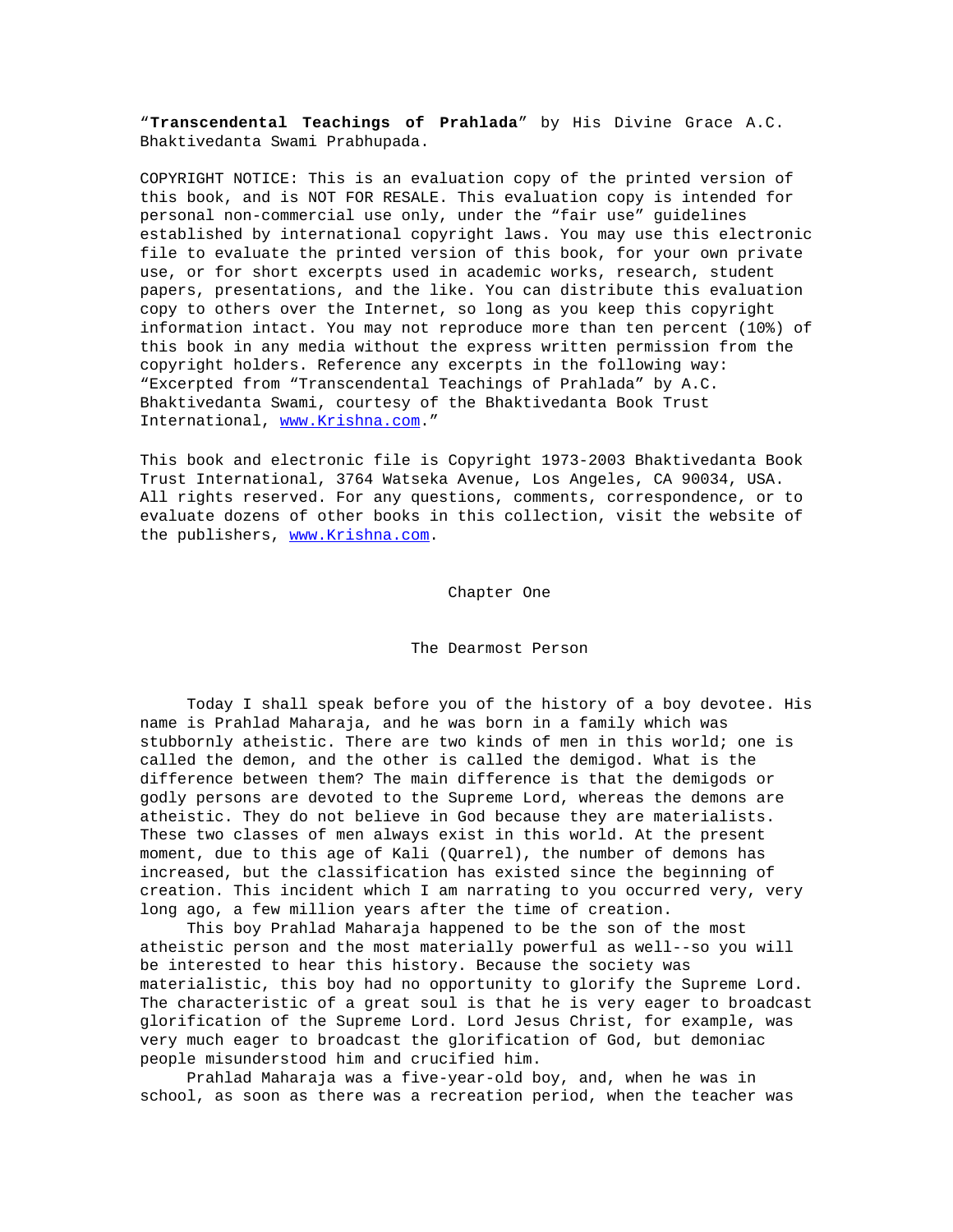"**Transcendental Teachings of Prahlada**" by His Divine Grace A.C. Bhaktivedanta Swami Prabhupada.

COPYRIGHT NOTICE: This is an evaluation copy of the printed version of this book, and is NOT FOR RESALE. This evaluation copy is intended for personal non-commercial use only, under the "fair use" guidelines established by international copyright laws. You may use this electronic file to evaluate the printed version of this book, for your own private use, or for short excerpts used in academic works, research, student papers, presentations, and the like. You can distribute this evaluation copy to others over the Internet, so long as you keep this copyright information intact. You may not reproduce more than ten percent (10%) of this book in any media without the express written permission from the copyright holders. Reference any excerpts in the following way: "Excerpted from "Transcendental Teachings of Prahlada" by A.C. Bhaktivedanta Swami, courtesy of the Bhaktivedanta Book Trust International, www.Krishna.com."

This book and electronic file is Copyright 1973-2003 Bhaktivedanta Book Trust International, 3764 Watseka Avenue, Los Angeles, CA 90034, USA. All rights reserved. For any questions, comments, correspondence, or to evaluate dozens of other books in this collection, visit the website of the publishers, www.Krishna.com.

## Chapter One

## The Dearmost Person

 Today I shall speak before you of the history of a boy devotee. His name is Prahlad Maharaja, and he was born in a family which was stubbornly atheistic. There are two kinds of men in this world; one is called the demon, and the other is called the demigod. What is the difference between them? The main difference is that the demigods or godly persons are devoted to the Supreme Lord, whereas the demons are atheistic. They do not believe in God because they are materialists. These two classes of men always exist in this world. At the present moment, due to this age of Kali (Quarrel), the number of demons has increased, but the classification has existed since the beginning of creation. This incident which I am narrating to you occurred very, very long ago, a few million years after the time of creation.

 This boy Prahlad Maharaja happened to be the son of the most atheistic person and the most materially powerful as well--so you will be interested to hear this history. Because the society was materialistic, this boy had no opportunity to glorify the Supreme Lord. The characteristic of a great soul is that he is very eager to broadcast glorification of the Supreme Lord. Lord Jesus Christ, for example, was very much eager to broadcast the glorification of God, but demoniac people misunderstood him and crucified him.

 Prahlad Maharaja was a five-year-old boy, and, when he was in school, as soon as there was a recreation period, when the teacher was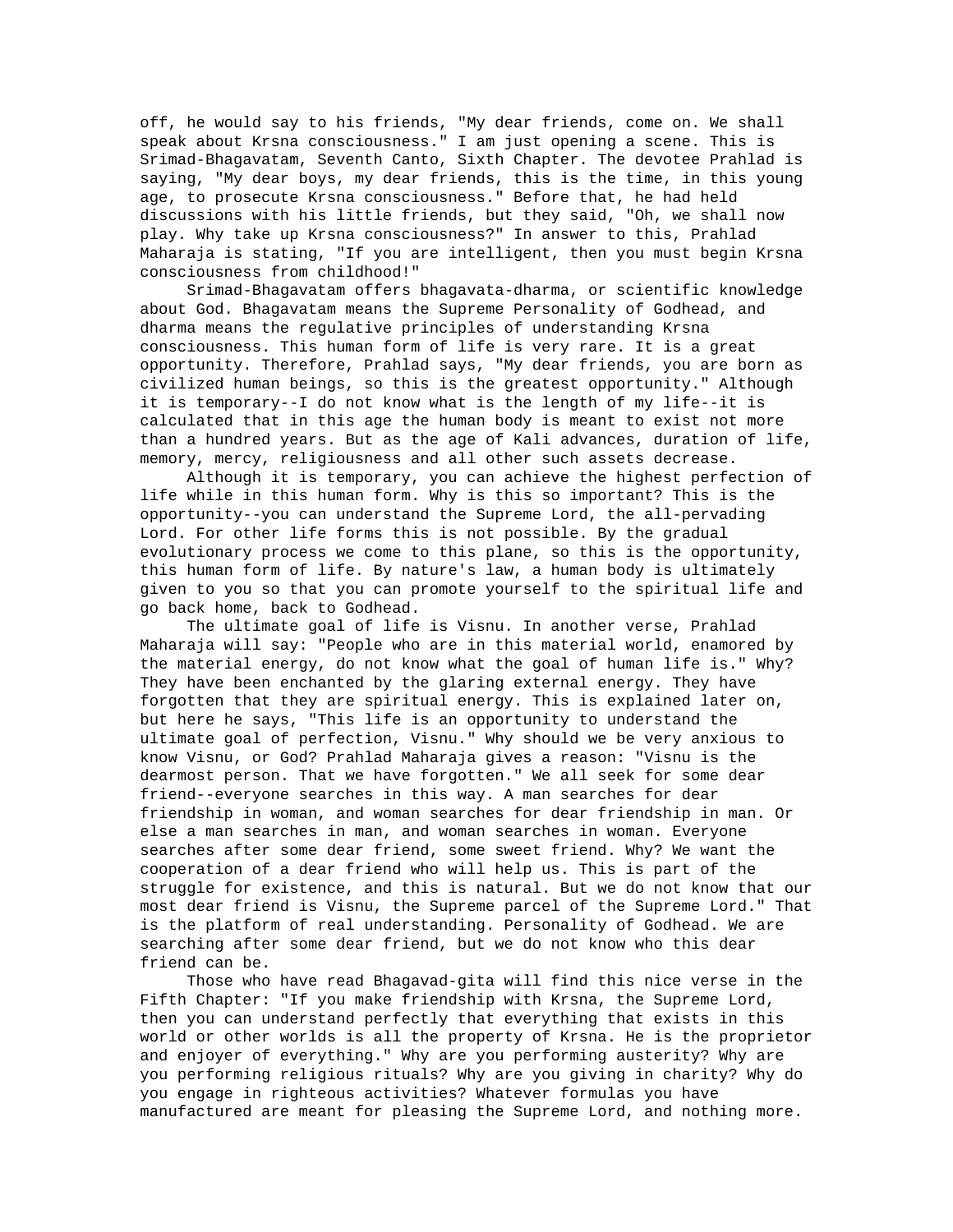off, he would say to his friends, "My dear friends, come on. We shall speak about Krsna consciousness." I am just opening a scene. This is Srimad-Bhagavatam, Seventh Canto, Sixth Chapter. The devotee Prahlad is saying, "My dear boys, my dear friends, this is the time, in this young age, to prosecute Krsna consciousness." Before that, he had held discussions with his little friends, but they said, "Oh, we shall now play. Why take up Krsna consciousness?" In answer to this, Prahlad Maharaja is stating, "If you are intelligent, then you must begin Krsna consciousness from childhood!"

 Srimad-Bhagavatam offers bhagavata-dharma, or scientific knowledge about God. Bhagavatam means the Supreme Personality of Godhead, and dharma means the regulative principles of understanding Krsna consciousness. This human form of life is very rare. It is a great opportunity. Therefore, Prahlad says, "My dear friends, you are born as civilized human beings, so this is the greatest opportunity." Although it is temporary--I do not know what is the length of my life--it is calculated that in this age the human body is meant to exist not more than a hundred years. But as the age of Kali advances, duration of life, memory, mercy, religiousness and all other such assets decrease.

 Although it is temporary, you can achieve the highest perfection of life while in this human form. Why is this so important? This is the opportunity--you can understand the Supreme Lord, the all-pervading Lord. For other life forms this is not possible. By the gradual evolutionary process we come to this plane, so this is the opportunity, this human form of life. By nature's law, a human body is ultimately given to you so that you can promote yourself to the spiritual life and go back home, back to Godhead.

 The ultimate goal of life is Visnu. In another verse, Prahlad Maharaja will say: "People who are in this material world, enamored by the material energy, do not know what the goal of human life is." Why? They have been enchanted by the glaring external energy. They have forgotten that they are spiritual energy. This is explained later on, but here he says, "This life is an opportunity to understand the ultimate goal of perfection, Visnu." Why should we be very anxious to know Visnu, or God? Prahlad Maharaja gives a reason: "Visnu is the dearmost person. That we have forgotten." We all seek for some dear friend--everyone searches in this way. A man searches for dear friendship in woman, and woman searches for dear friendship in man. Or else a man searches in man, and woman searches in woman. Everyone searches after some dear friend, some sweet friend. Why? We want the cooperation of a dear friend who will help us. This is part of the struggle for existence, and this is natural. But we do not know that our most dear friend is Visnu, the Supreme parcel of the Supreme Lord." That is the platform of real understanding. Personality of Godhead. We are searching after some dear friend, but we do not know who this dear friend can be.

 Those who have read Bhagavad-gita will find this nice verse in the Fifth Chapter: "If you make friendship with Krsna, the Supreme Lord, then you can understand perfectly that everything that exists in this world or other worlds is all the property of Krsna. He is the proprietor and enjoyer of everything." Why are you performing austerity? Why are you performing religious rituals? Why are you giving in charity? Why do you engage in righteous activities? Whatever formulas you have manufactured are meant for pleasing the Supreme Lord, and nothing more.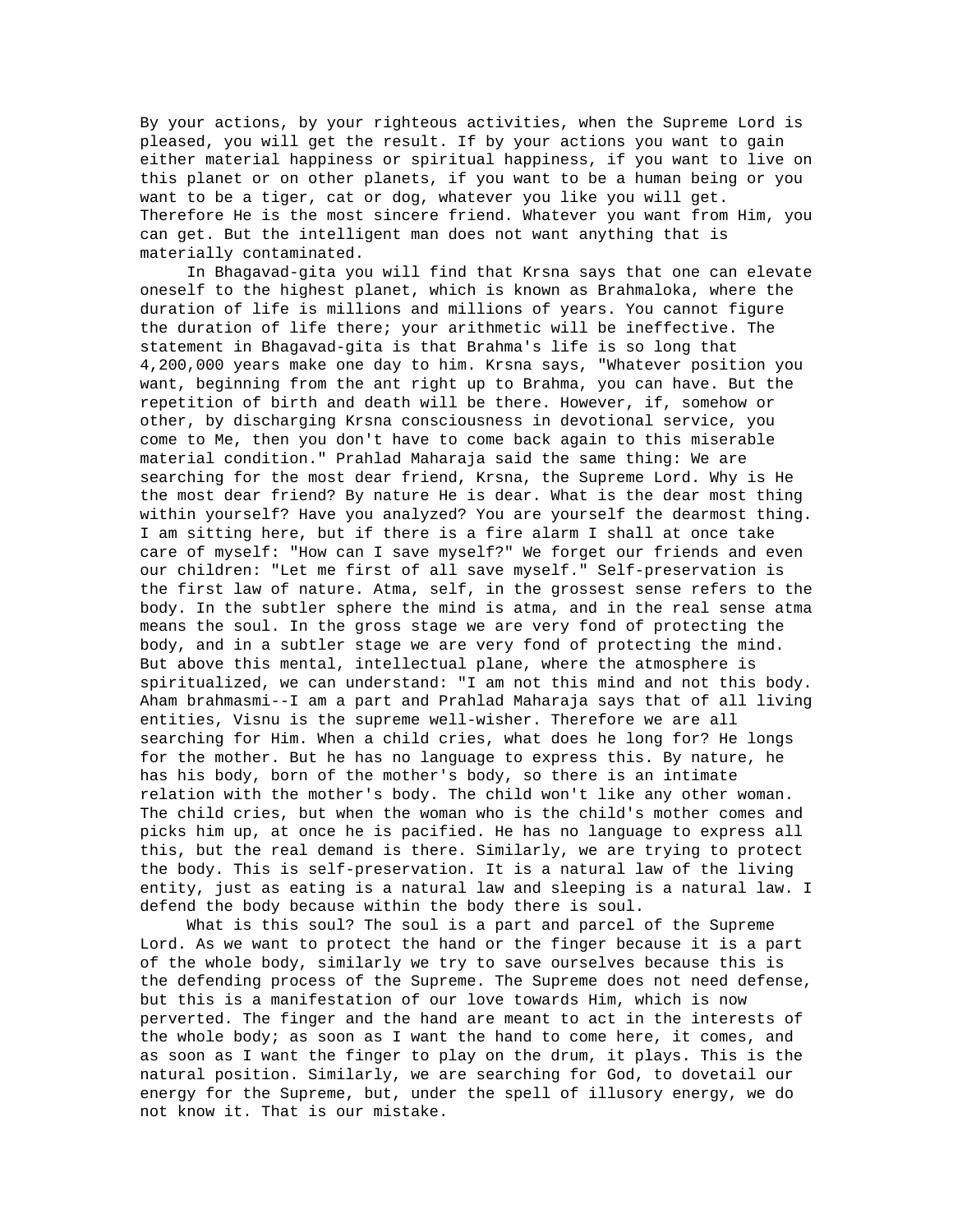By your actions, by your righteous activities, when the Supreme Lord is pleased, you will get the result. If by your actions you want to gain either material happiness or spiritual happiness, if you want to live on this planet or on other planets, if you want to be a human being or you want to be a tiger, cat or dog, whatever you like you will get. Therefore He is the most sincere friend. Whatever you want from Him, you can get. But the intelligent man does not want anything that is materially contaminated.

 In Bhagavad-gita you will find that Krsna says that one can elevate oneself to the highest planet, which is known as Brahmaloka, where the duration of life is millions and millions of years. You cannot figure the duration of life there; your arithmetic will be ineffective. The statement in Bhagavad-gita is that Brahma's life is so long that 4,200,000 years make one day to him. Krsna says, "Whatever position you want, beginning from the ant right up to Brahma, you can have. But the repetition of birth and death will be there. However, if, somehow or other, by discharging Krsna consciousness in devotional service, you come to Me, then you don't have to come back again to this miserable material condition." Prahlad Maharaja said the same thing: We are searching for the most dear friend, Krsna, the Supreme Lord. Why is He the most dear friend? By nature He is dear. What is the dear most thing within yourself? Have you analyzed? You are yourself the dearmost thing. I am sitting here, but if there is a fire alarm I shall at once take care of myself: "How can I save myself?" We forget our friends and even our children: "Let me first of all save myself." Self-preservation is the first law of nature. Atma, self, in the grossest sense refers to the body. In the subtler sphere the mind is atma, and in the real sense atma means the soul. In the gross stage we are very fond of protecting the body, and in a subtler stage we are very fond of protecting the mind. But above this mental, intellectual plane, where the atmosphere is spiritualized, we can understand: "I am not this mind and not this body. Aham brahmasmi--I am a part and Prahlad Maharaja says that of all living entities, Visnu is the supreme well-wisher. Therefore we are all searching for Him. When a child cries, what does he long for? He longs for the mother. But he has no language to express this. By nature, he has his body, born of the mother's body, so there is an intimate relation with the mother's body. The child won't like any other woman. The child cries, but when the woman who is the child's mother comes and picks him up, at once he is pacified. He has no language to express all this, but the real demand is there. Similarly, we are trying to protect the body. This is self-preservation. It is a natural law of the living entity, just as eating is a natural law and sleeping is a natural law. I defend the body because within the body there is soul.

 What is this soul? The soul is a part and parcel of the Supreme Lord. As we want to protect the hand or the finger because it is a part of the whole body, similarly we try to save ourselves because this is the defending process of the Supreme. The Supreme does not need defense, but this is a manifestation of our love towards Him, which is now perverted. The finger and the hand are meant to act in the interests of the whole body; as soon as I want the hand to come here, it comes, and as soon as I want the finger to play on the drum, it plays. This is the natural position. Similarly, we are searching for God, to dovetail our energy for the Supreme, but, under the spell of illusory energy, we do not know it. That is our mistake.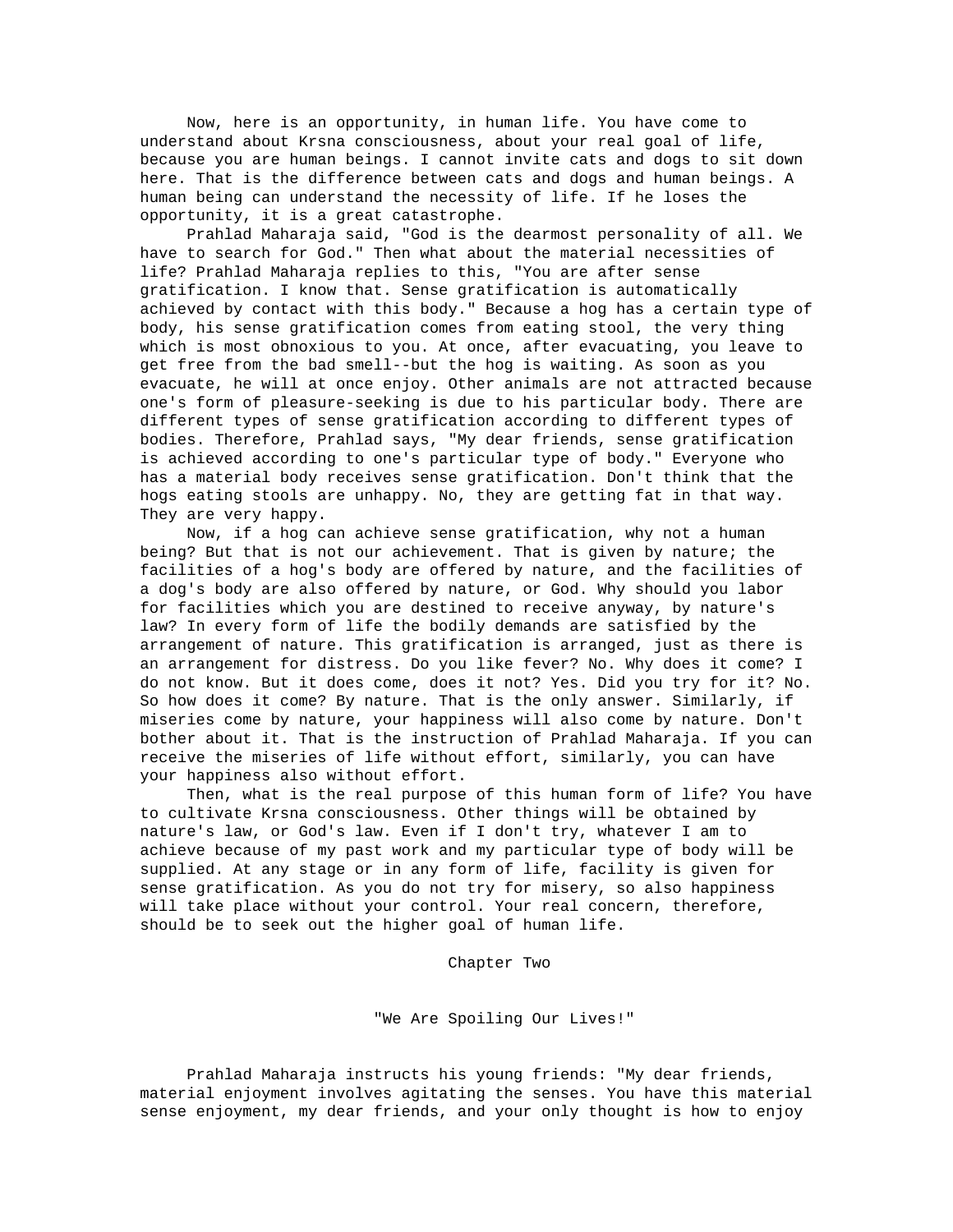Now, here is an opportunity, in human life. You have come to understand about Krsna consciousness, about your real goal of life, because you are human beings. I cannot invite cats and dogs to sit down here. That is the difference between cats and dogs and human beings. A human being can understand the necessity of life. If he loses the opportunity, it is a great catastrophe.

 Prahlad Maharaja said, "God is the dearmost personality of all. We have to search for God." Then what about the material necessities of life? Prahlad Maharaja replies to this, "You are after sense gratification. I know that. Sense gratification is automatically achieved by contact with this body." Because a hog has a certain type of body, his sense gratification comes from eating stool, the very thing which is most obnoxious to you. At once, after evacuating, you leave to get free from the bad smell--but the hog is waiting. As soon as you evacuate, he will at once enjoy. Other animals are not attracted because one's form of pleasure-seeking is due to his particular body. There are different types of sense gratification according to different types of bodies. Therefore, Prahlad says, "My dear friends, sense gratification is achieved according to one's particular type of body." Everyone who has a material body receives sense gratification. Don't think that the hogs eating stools are unhappy. No, they are getting fat in that way. They are very happy.

 Now, if a hog can achieve sense gratification, why not a human being? But that is not our achievement. That is given by nature; the facilities of a hog's body are offered by nature, and the facilities of a dog's body are also offered by nature, or God. Why should you labor for facilities which you are destined to receive anyway, by nature's law? In every form of life the bodily demands are satisfied by the arrangement of nature. This gratification is arranged, just as there is an arrangement for distress. Do you like fever? No. Why does it come? I do not know. But it does come, does it not? Yes. Did you try for it? No. So how does it come? By nature. That is the only answer. Similarly, if miseries come by nature, your happiness will also come by nature. Don't bother about it. That is the instruction of Prahlad Maharaja. If you can receive the miseries of life without effort, similarly, you can have your happiness also without effort.

 Then, what is the real purpose of this human form of life? You have to cultivate Krsna consciousness. Other things will be obtained by nature's law, or God's law. Even if I don't try, whatever I am to achieve because of my past work and my particular type of body will be supplied. At any stage or in any form of life, facility is given for sense gratification. As you do not try for misery, so also happiness will take place without your control. Your real concern, therefore, should be to seek out the higher goal of human life.

Chapter Two

"We Are Spoiling Our Lives!"

 Prahlad Maharaja instructs his young friends: "My dear friends, material enjoyment involves agitating the senses. You have this material sense enjoyment, my dear friends, and your only thought is how to enjoy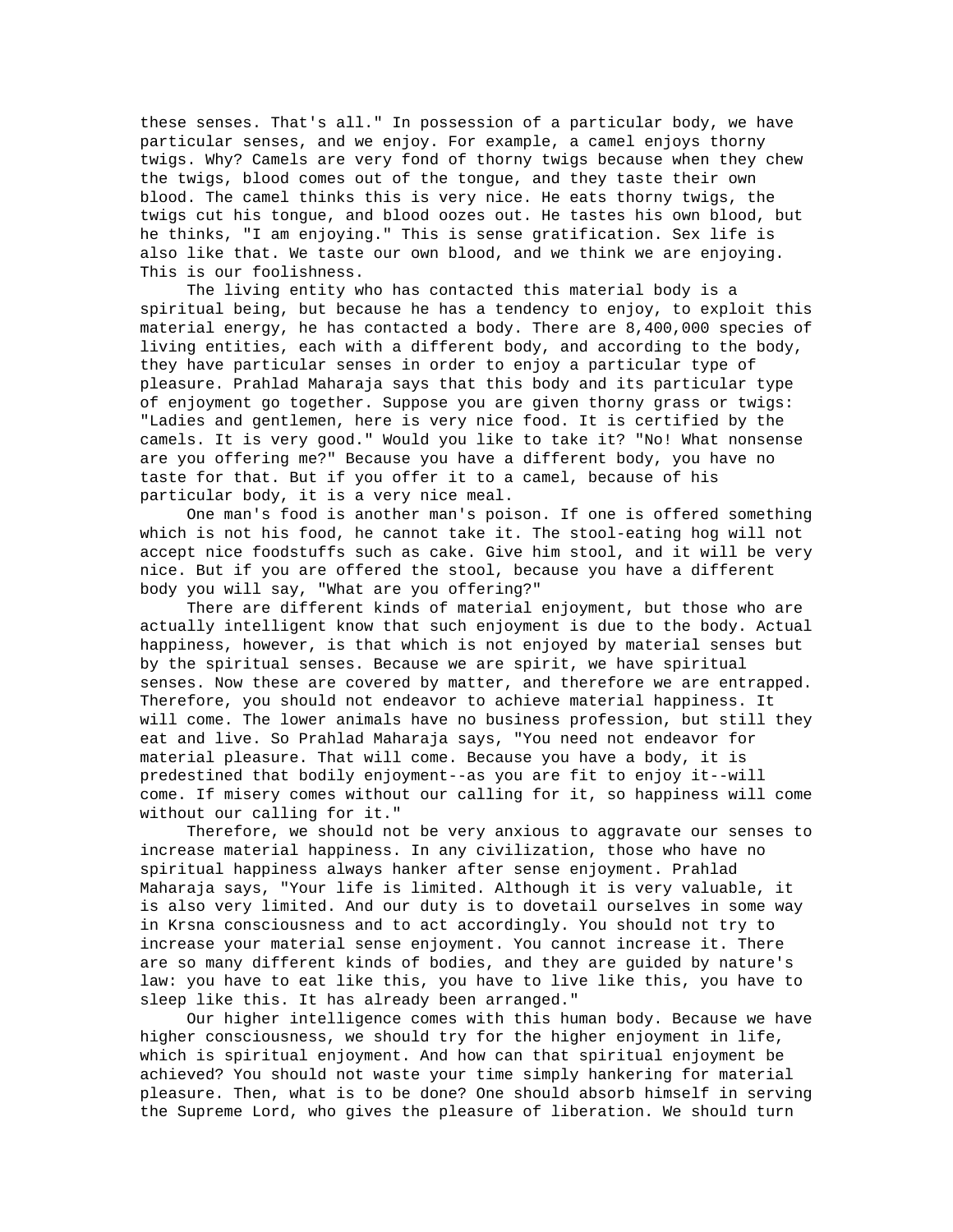these senses. That's all." In possession of a particular body, we have particular senses, and we enjoy. For example, a camel enjoys thorny twigs. Why? Camels are very fond of thorny twigs because when they chew the twigs, blood comes out of the tongue, and they taste their own blood. The camel thinks this is very nice. He eats thorny twigs, the twigs cut his tongue, and blood oozes out. He tastes his own blood, but he thinks, "I am enjoying." This is sense gratification. Sex life is also like that. We taste our own blood, and we think we are enjoying. This is our foolishness.

 The living entity who has contacted this material body is a spiritual being, but because he has a tendency to enjoy, to exploit this material energy, he has contacted a body. There are 8,400,000 species of living entities, each with a different body, and according to the body, they have particular senses in order to enjoy a particular type of pleasure. Prahlad Maharaja says that this body and its particular type of enjoyment go together. Suppose you are given thorny grass or twigs: "Ladies and gentlemen, here is very nice food. It is certified by the camels. It is very good." Would you like to take it? "No! What nonsense are you offering me?" Because you have a different body, you have no taste for that. But if you offer it to a camel, because of his particular body, it is a very nice meal.

 One man's food is another man's poison. If one is offered something which is not his food, he cannot take it. The stool-eating hog will not accept nice foodstuffs such as cake. Give him stool, and it will be very nice. But if you are offered the stool, because you have a different body you will say, "What are you offering?"

 There are different kinds of material enjoyment, but those who are actually intelligent know that such enjoyment is due to the body. Actual happiness, however, is that which is not enjoyed by material senses but by the spiritual senses. Because we are spirit, we have spiritual senses. Now these are covered by matter, and therefore we are entrapped. Therefore, you should not endeavor to achieve material happiness. It will come. The lower animals have no business profession, but still they eat and live. So Prahlad Maharaja says, "You need not endeavor for material pleasure. That will come. Because you have a body, it is predestined that bodily enjoyment--as you are fit to enjoy it--will come. If misery comes without our calling for it, so happiness will come without our calling for it."

 Therefore, we should not be very anxious to aggravate our senses to increase material happiness. In any civilization, those who have no spiritual happiness always hanker after sense enjoyment. Prahlad Maharaja says, "Your life is limited. Although it is very valuable, it is also very limited. And our duty is to dovetail ourselves in some way in Krsna consciousness and to act accordingly. You should not try to increase your material sense enjoyment. You cannot increase it. There are so many different kinds of bodies, and they are guided by nature's law: you have to eat like this, you have to live like this, you have to sleep like this. It has already been arranged."

 Our higher intelligence comes with this human body. Because we have higher consciousness, we should try for the higher enjoyment in life, which is spiritual enjoyment. And how can that spiritual enjoyment be achieved? You should not waste your time simply hankering for material pleasure. Then, what is to be done? One should absorb himself in serving the Supreme Lord, who gives the pleasure of liberation. We should turn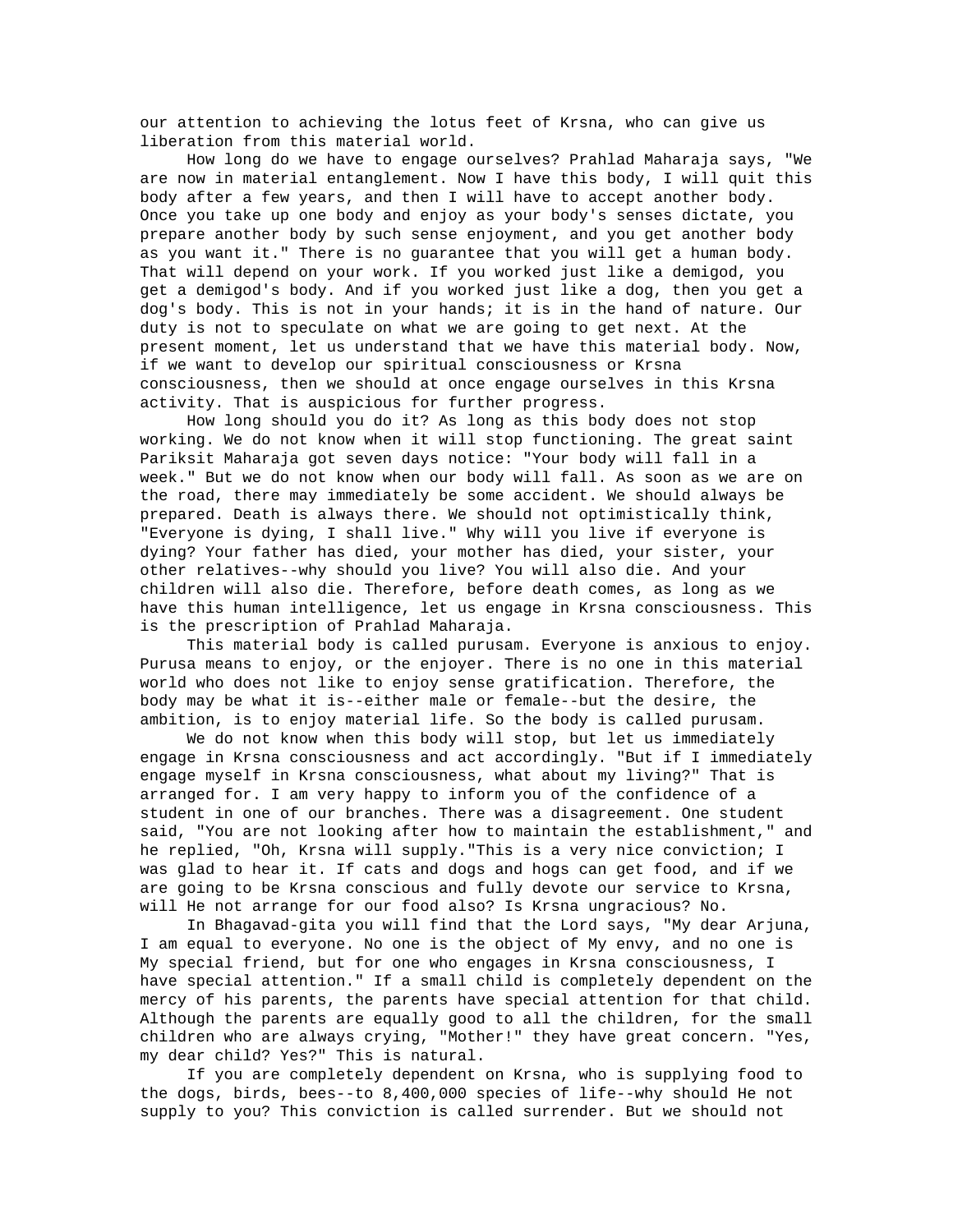our attention to achieving the lotus feet of Krsna, who can give us liberation from this material world.

 How long do we have to engage ourselves? Prahlad Maharaja says, "We are now in material entanglement. Now I have this body, I will quit this body after a few years, and then I will have to accept another body. Once you take up one body and enjoy as your body's senses dictate, you prepare another body by such sense enjoyment, and you get another body as you want it." There is no guarantee that you will get a human body. That will depend on your work. If you worked just like a demigod, you get a demigod's body. And if you worked just like a dog, then you get a dog's body. This is not in your hands; it is in the hand of nature. Our duty is not to speculate on what we are going to get next. At the present moment, let us understand that we have this material body. Now, if we want to develop our spiritual consciousness or Krsna consciousness, then we should at once engage ourselves in this Krsna activity. That is auspicious for further progress.

 How long should you do it? As long as this body does not stop working. We do not know when it will stop functioning. The great saint Pariksit Maharaja got seven days notice: "Your body will fall in a week." But we do not know when our body will fall. As soon as we are on the road, there may immediately be some accident. We should always be prepared. Death is always there. We should not optimistically think, "Everyone is dying, I shall live." Why will you live if everyone is dying? Your father has died, your mother has died, your sister, your other relatives--why should you live? You will also die. And your children will also die. Therefore, before death comes, as long as we have this human intelligence, let us engage in Krsna consciousness. This is the prescription of Prahlad Maharaja.

 This material body is called purusam. Everyone is anxious to enjoy. Purusa means to enjoy, or the enjoyer. There is no one in this material world who does not like to enjoy sense gratification. Therefore, the body may be what it is--either male or female--but the desire, the ambition, is to enjoy material life. So the body is called purusam.

 We do not know when this body will stop, but let us immediately engage in Krsna consciousness and act accordingly. "But if I immediately engage myself in Krsna consciousness, what about my living?" That is arranged for. I am very happy to inform you of the confidence of a student in one of our branches. There was a disagreement. One student said, "You are not looking after how to maintain the establishment," and he replied, "Oh, Krsna will supply."This is a very nice conviction; I was glad to hear it. If cats and dogs and hogs can get food, and if we are going to be Krsna conscious and fully devote our service to Krsna, will He not arrange for our food also? Is Krsna ungracious? No.

 In Bhagavad-gita you will find that the Lord says, "My dear Arjuna, I am equal to everyone. No one is the object of My envy, and no one is My special friend, but for one who engages in Krsna consciousness, I have special attention." If a small child is completely dependent on the mercy of his parents, the parents have special attention for that child. Although the parents are equally good to all the children, for the small children who are always crying, "Mother!" they have great concern. "Yes, my dear child? Yes?" This is natural.

 If you are completely dependent on Krsna, who is supplying food to the dogs, birds, bees--to 8,400,000 species of life--why should He not supply to you? This conviction is called surrender. But we should not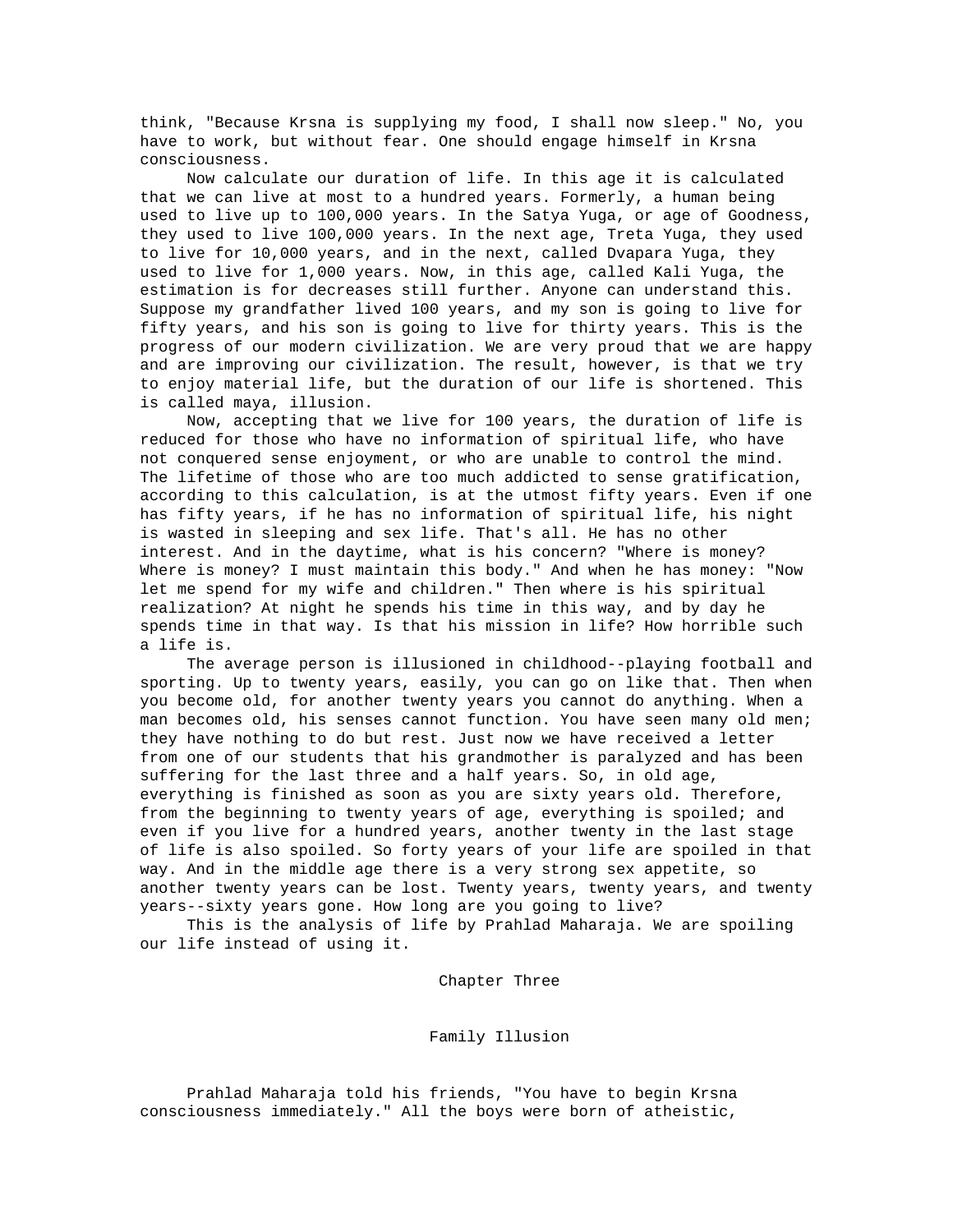think, "Because Krsna is supplying my food, I shall now sleep." No, you have to work, but without fear. One should engage himself in Krsna consciousness.

 Now calculate our duration of life. In this age it is calculated that we can live at most to a hundred years. Formerly, a human being used to live up to 100,000 years. In the Satya Yuga, or age of Goodness, they used to live 100,000 years. In the next age, Treta Yuga, they used to live for 10,000 years, and in the next, called Dvapara Yuga, they used to live for 1,000 years. Now, in this age, called Kali Yuga, the estimation is for decreases still further. Anyone can understand this. Suppose my grandfather lived 100 years, and my son is going to live for fifty years, and his son is going to live for thirty years. This is the progress of our modern civilization. We are very proud that we are happy and are improving our civilization. The result, however, is that we try to enjoy material life, but the duration of our life is shortened. This is called maya, illusion.

 Now, accepting that we live for 100 years, the duration of life is reduced for those who have no information of spiritual life, who have not conquered sense enjoyment, or who are unable to control the mind. The lifetime of those who are too much addicted to sense gratification, according to this calculation, is at the utmost fifty years. Even if one has fifty years, if he has no information of spiritual life, his night is wasted in sleeping and sex life. That's all. He has no other interest. And in the daytime, what is his concern? "Where is money? Where is money? I must maintain this body." And when he has money: "Now let me spend for my wife and children." Then where is his spiritual realization? At night he spends his time in this way, and by day he spends time in that way. Is that his mission in life? How horrible such a life is.

 The average person is illusioned in childhood--playing football and sporting. Up to twenty years, easily, you can go on like that. Then when you become old, for another twenty years you cannot do anything. When a man becomes old, his senses cannot function. You have seen many old men; they have nothing to do but rest. Just now we have received a letter from one of our students that his grandmother is paralyzed and has been suffering for the last three and a half years. So, in old age, everything is finished as soon as you are sixty years old. Therefore, from the beginning to twenty years of age, everything is spoiled; and even if you live for a hundred years, another twenty in the last stage of life is also spoiled. So forty years of your life are spoiled in that way. And in the middle age there is a very strong sex appetite, so another twenty years can be lost. Twenty years, twenty years, and twenty years--sixty years gone. How long are you going to live?

 This is the analysis of life by Prahlad Maharaja. We are spoiling our life instead of using it.

Chapter Three

Family Illusion

 Prahlad Maharaja told his friends, "You have to begin Krsna consciousness immediately." All the boys were born of atheistic,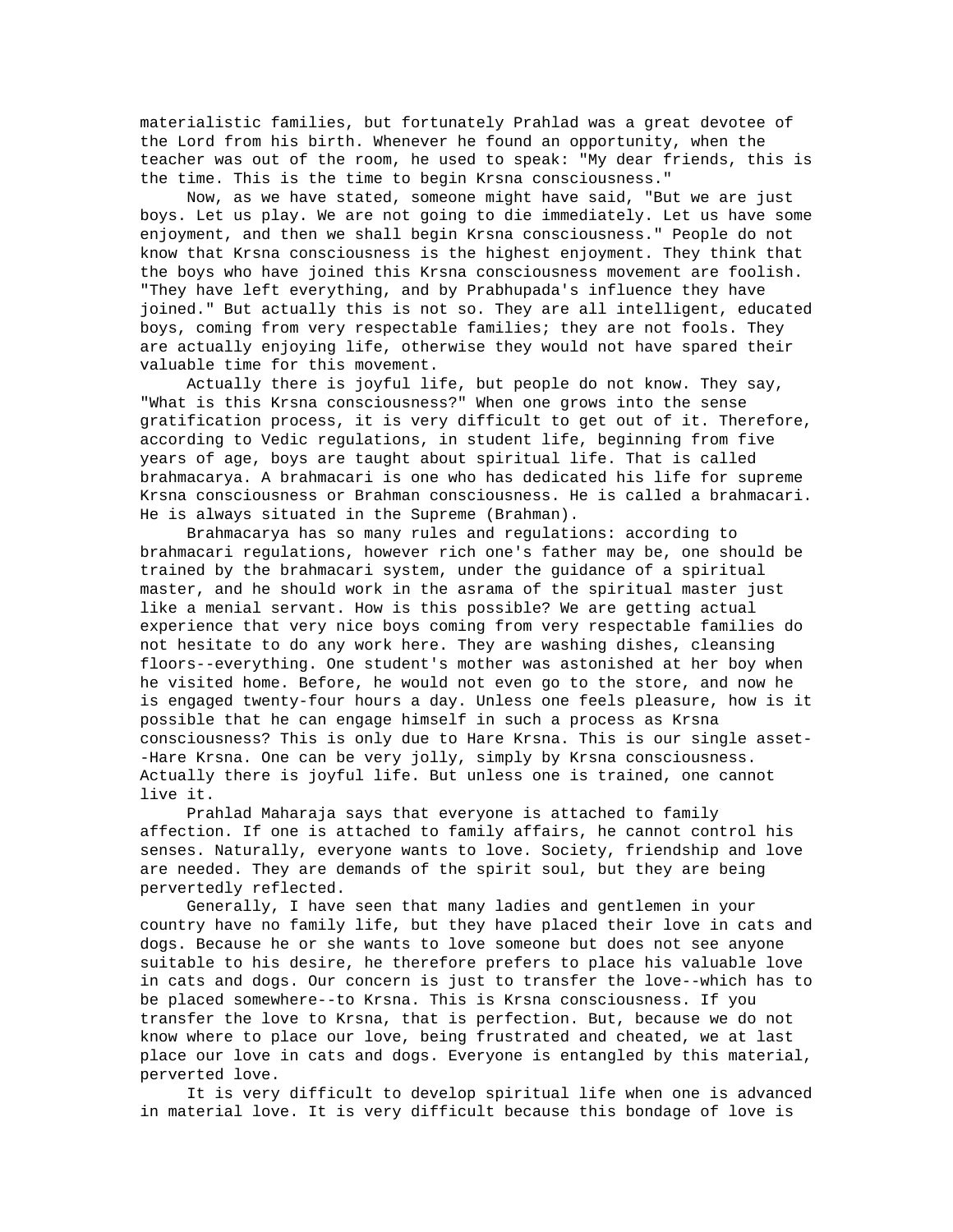materialistic families, but fortunately Prahlad was a great devotee of the Lord from his birth. Whenever he found an opportunity, when the teacher was out of the room, he used to speak: "My dear friends, this is the time. This is the time to begin Krsna consciousness."

 Now, as we have stated, someone might have said, "But we are just boys. Let us play. We are not going to die immediately. Let us have some enjoyment, and then we shall begin Krsna consciousness." People do not know that Krsna consciousness is the highest enjoyment. They think that the boys who have joined this Krsna consciousness movement are foolish. "They have left everything, and by Prabhupada's influence they have joined." But actually this is not so. They are all intelligent, educated boys, coming from very respectable families; they are not fools. They are actually enjoying life, otherwise they would not have spared their valuable time for this movement.

 Actually there is joyful life, but people do not know. They say, "What is this Krsna consciousness?" When one grows into the sense gratification process, it is very difficult to get out of it. Therefore, according to Vedic regulations, in student life, beginning from five years of age, boys are taught about spiritual life. That is called brahmacarya. A brahmacari is one who has dedicated his life for supreme Krsna consciousness or Brahman consciousness. He is called a brahmacari. He is always situated in the Supreme (Brahman).

 Brahmacarya has so many rules and regulations: according to brahmacari regulations, however rich one's father may be, one should be trained by the brahmacari system, under the guidance of a spiritual master, and he should work in the asrama of the spiritual master just like a menial servant. How is this possible? We are getting actual experience that very nice boys coming from very respectable families do not hesitate to do any work here. They are washing dishes, cleansing floors--everything. One student's mother was astonished at her boy when he visited home. Before, he would not even go to the store, and now he is engaged twenty-four hours a day. Unless one feels pleasure, how is it possible that he can engage himself in such a process as Krsna consciousness? This is only due to Hare Krsna. This is our single asset- -Hare Krsna. One can be very jolly, simply by Krsna consciousness. Actually there is joyful life. But unless one is trained, one cannot live it.

 Prahlad Maharaja says that everyone is attached to family affection. If one is attached to family affairs, he cannot control his senses. Naturally, everyone wants to love. Society, friendship and love are needed. They are demands of the spirit soul, but they are being pervertedly reflected.

 Generally, I have seen that many ladies and gentlemen in your country have no family life, but they have placed their love in cats and dogs. Because he or she wants to love someone but does not see anyone suitable to his desire, he therefore prefers to place his valuable love in cats and dogs. Our concern is just to transfer the love--which has to be placed somewhere--to Krsna. This is Krsna consciousness. If you transfer the love to Krsna, that is perfection. But, because we do not know where to place our love, being frustrated and cheated, we at last place our love in cats and dogs. Everyone is entangled by this material, perverted love.

 It is very difficult to develop spiritual life when one is advanced in material love. It is very difficult because this bondage of love is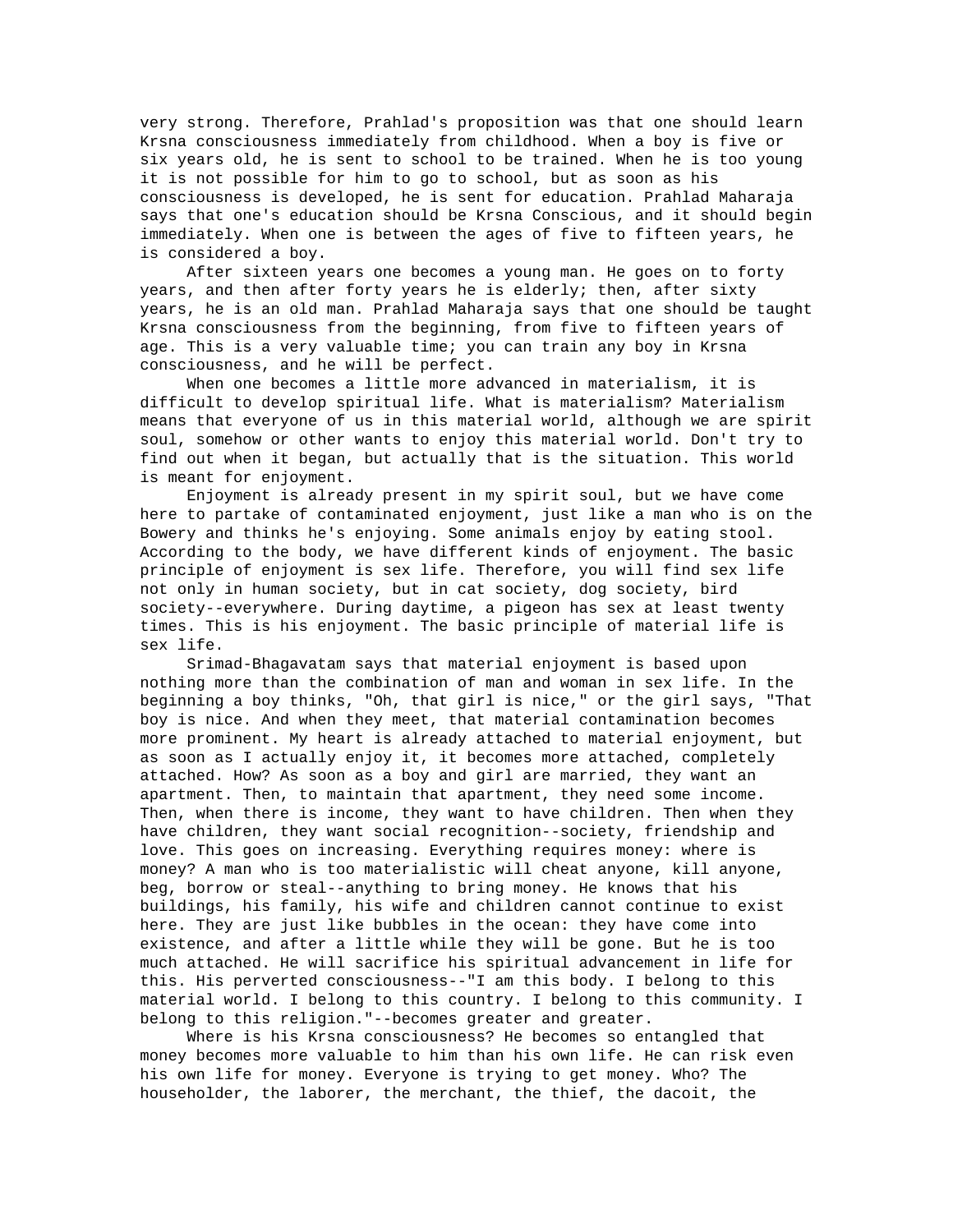very strong. Therefore, Prahlad's proposition was that one should learn Krsna consciousness immediately from childhood. When a boy is five or six years old, he is sent to school to be trained. When he is too young it is not possible for him to go to school, but as soon as his consciousness is developed, he is sent for education. Prahlad Maharaja says that one's education should be Krsna Conscious, and it should begin immediately. When one is between the ages of five to fifteen years, he is considered a boy.

 After sixteen years one becomes a young man. He goes on to forty years, and then after forty years he is elderly; then, after sixty years, he is an old man. Prahlad Maharaja says that one should be taught Krsna consciousness from the beginning, from five to fifteen years of age. This is a very valuable time; you can train any boy in Krsna consciousness, and he will be perfect.

 When one becomes a little more advanced in materialism, it is difficult to develop spiritual life. What is materialism? Materialism means that everyone of us in this material world, although we are spirit soul, somehow or other wants to enjoy this material world. Don't try to find out when it began, but actually that is the situation. This world is meant for enjoyment.

 Enjoyment is already present in my spirit soul, but we have come here to partake of contaminated enjoyment, just like a man who is on the Bowery and thinks he's enjoying. Some animals enjoy by eating stool. According to the body, we have different kinds of enjoyment. The basic principle of enjoyment is sex life. Therefore, you will find sex life not only in human society, but in cat society, dog society, bird society--everywhere. During daytime, a pigeon has sex at least twenty times. This is his enjoyment. The basic principle of material life is sex life.

 Srimad-Bhagavatam says that material enjoyment is based upon nothing more than the combination of man and woman in sex life. In the beginning a boy thinks, "Oh, that girl is nice," or the girl says, "That boy is nice. And when they meet, that material contamination becomes more prominent. My heart is already attached to material enjoyment, but as soon as I actually enjoy it, it becomes more attached, completely attached. How? As soon as a boy and girl are married, they want an apartment. Then, to maintain that apartment, they need some income. Then, when there is income, they want to have children. Then when they have children, they want social recognition--society, friendship and love. This goes on increasing. Everything requires money: where is money? A man who is too materialistic will cheat anyone, kill anyone, beg, borrow or steal--anything to bring money. He knows that his buildings, his family, his wife and children cannot continue to exist here. They are just like bubbles in the ocean: they have come into existence, and after a little while they will be gone. But he is too much attached. He will sacrifice his spiritual advancement in life for this. His perverted consciousness--"I am this body. I belong to this material world. I belong to this country. I belong to this community. I belong to this religion."--becomes greater and greater.

 Where is his Krsna consciousness? He becomes so entangled that money becomes more valuable to him than his own life. He can risk even his own life for money. Everyone is trying to get money. Who? The householder, the laborer, the merchant, the thief, the dacoit, the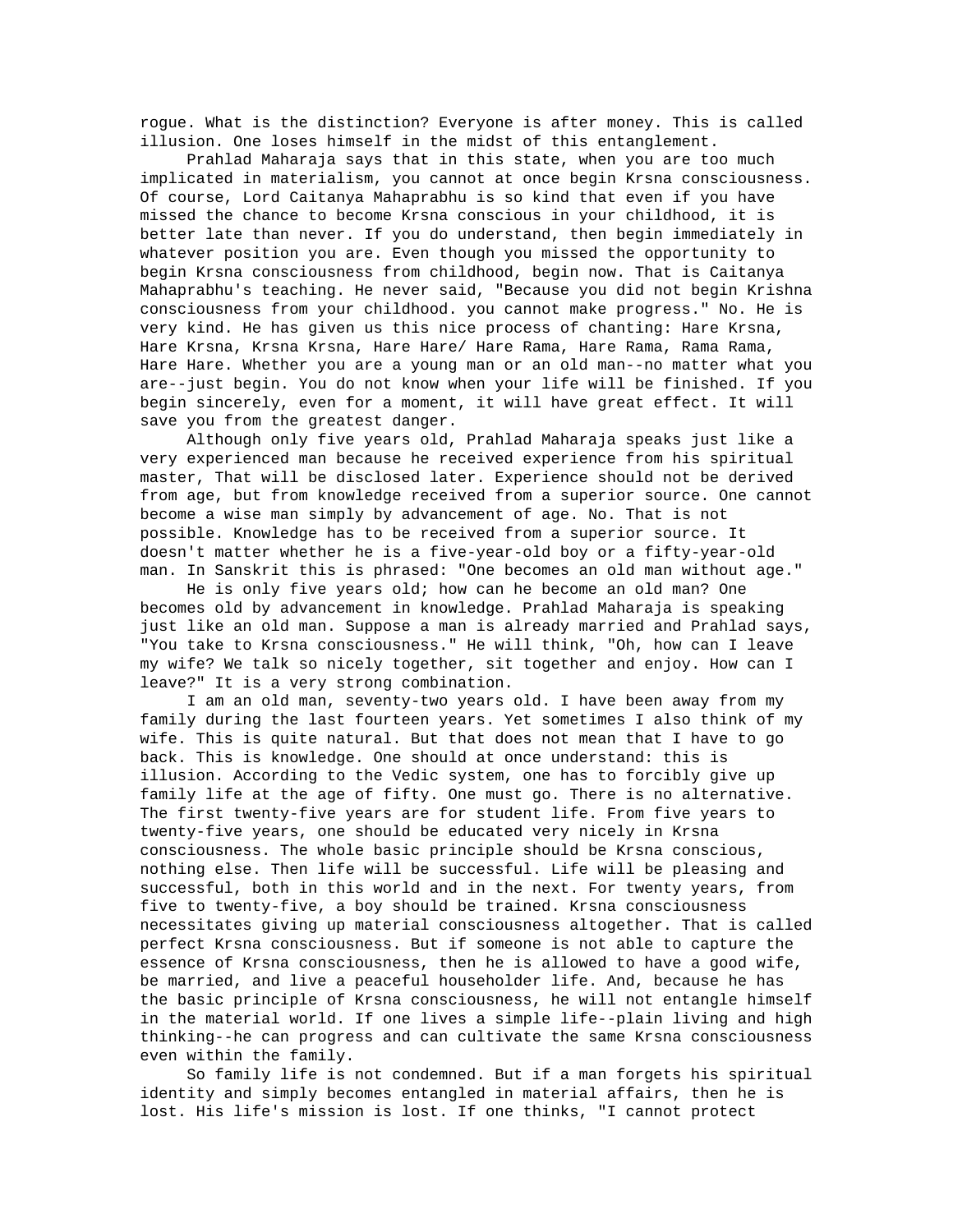rogue. What is the distinction? Everyone is after money. This is called illusion. One loses himself in the midst of this entanglement.

 Prahlad Maharaja says that in this state, when you are too much implicated in materialism, you cannot at once begin Krsna consciousness. Of course, Lord Caitanya Mahaprabhu is so kind that even if you have missed the chance to become Krsna conscious in your childhood, it is better late than never. If you do understand, then begin immediately in whatever position you are. Even though you missed the opportunity to begin Krsna consciousness from childhood, begin now. That is Caitanya Mahaprabhu's teaching. He never said, "Because you did not begin Krishna consciousness from your childhood. you cannot make progress." No. He is very kind. He has given us this nice process of chanting: Hare Krsna, Hare Krsna, Krsna Krsna, Hare Hare/ Hare Rama, Hare Rama, Rama Rama, Hare Hare. Whether you are a young man or an old man--no matter what you are--just begin. You do not know when your life will be finished. If you begin sincerely, even for a moment, it will have great effect. It will save you from the greatest danger.

 Although only five years old, Prahlad Maharaja speaks just like a very experienced man because he received experience from his spiritual master, That will be disclosed later. Experience should not be derived from age, but from knowledge received from a superior source. One cannot become a wise man simply by advancement of age. No. That is not possible. Knowledge has to be received from a superior source. It doesn't matter whether he is a five-year-old boy or a fifty-year-old man. In Sanskrit this is phrased: "One becomes an old man without age."

 He is only five years old; how can he become an old man? One becomes old by advancement in knowledge. Prahlad Maharaja is speaking just like an old man. Suppose a man is already married and Prahlad says, "You take to Krsna consciousness." He will think, "Oh, how can I leave my wife? We talk so nicely together, sit together and enjoy. How can I leave?" It is a very strong combination.

 I am an old man, seventy-two years old. I have been away from my family during the last fourteen years. Yet sometimes I also think of my wife. This is quite natural. But that does not mean that I have to go back. This is knowledge. One should at once understand: this is illusion. According to the Vedic system, one has to forcibly give up family life at the age of fifty. One must go. There is no alternative. The first twenty-five years are for student life. From five years to twenty-five years, one should be educated very nicely in Krsna consciousness. The whole basic principle should be Krsna conscious, nothing else. Then life will be successful. Life will be pleasing and successful, both in this world and in the next. For twenty years, from five to twenty-five, a boy should be trained. Krsna consciousness necessitates giving up material consciousness altogether. That is called perfect Krsna consciousness. But if someone is not able to capture the essence of Krsna consciousness, then he is allowed to have a good wife, be married, and live a peaceful householder life. And, because he has the basic principle of Krsna consciousness, he will not entangle himself in the material world. If one lives a simple life--plain living and high thinking--he can progress and can cultivate the same Krsna consciousness even within the family.

 So family life is not condemned. But if a man forgets his spiritual identity and simply becomes entangled in material affairs, then he is lost. His life's mission is lost. If one thinks, "I cannot protect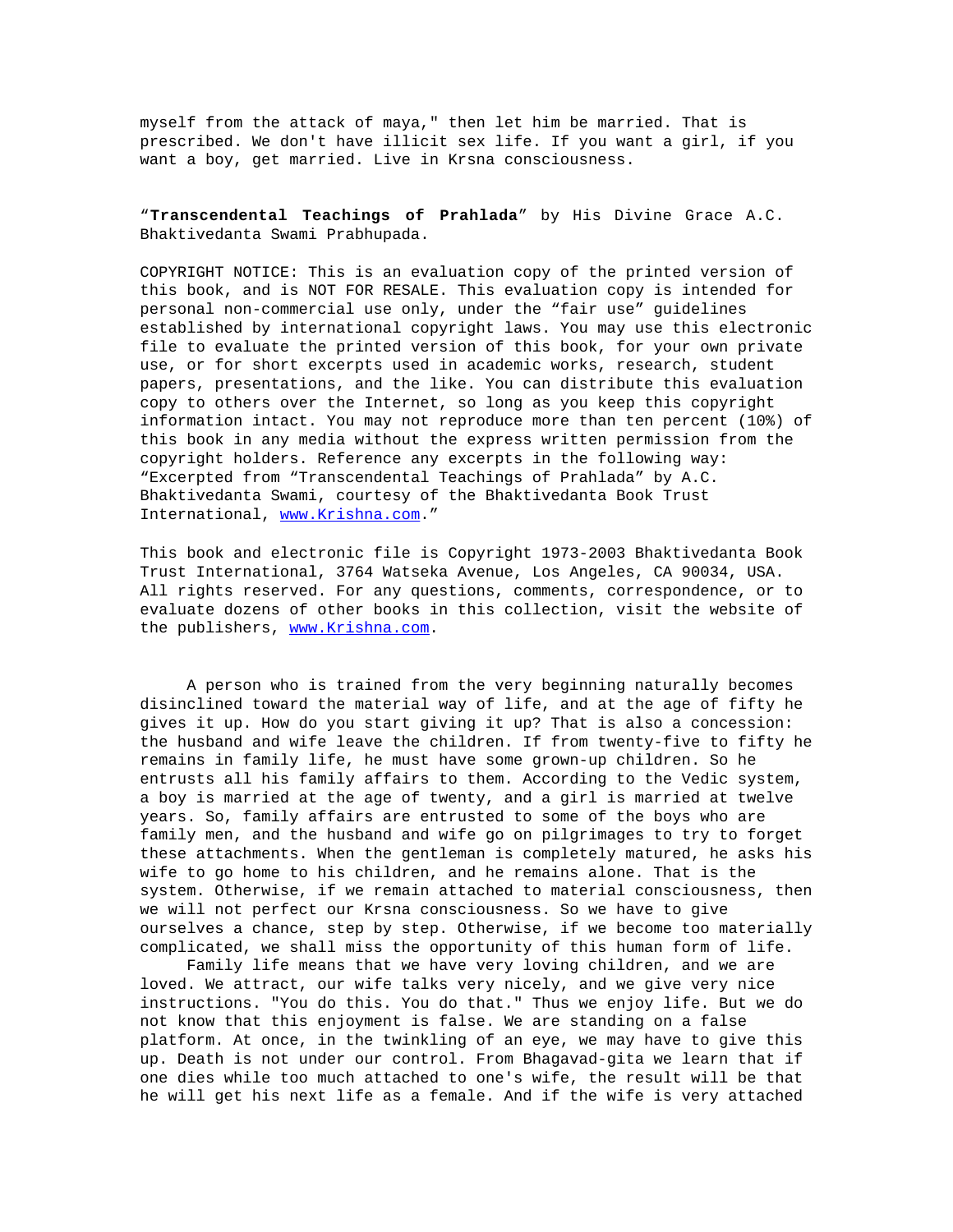myself from the attack of maya," then let him be married. That is prescribed. We don't have illicit sex life. If you want a girl, if you want a boy, get married. Live in Krsna consciousness.

"**Transcendental Teachings of Prahlada**" by His Divine Grace A.C. Bhaktivedanta Swami Prabhupada.

COPYRIGHT NOTICE: This is an evaluation copy of the printed version of this book, and is NOT FOR RESALE. This evaluation copy is intended for personal non-commercial use only, under the "fair use" guidelines established by international copyright laws. You may use this electronic file to evaluate the printed version of this book, for your own private use, or for short excerpts used in academic works, research, student papers, presentations, and the like. You can distribute this evaluation copy to others over the Internet, so long as you keep this copyright information intact. You may not reproduce more than ten percent (10%) of this book in any media without the express written permission from the copyright holders. Reference any excerpts in the following way: "Excerpted from "Transcendental Teachings of Prahlada" by A.C. Bhaktivedanta Swami, courtesy of the Bhaktivedanta Book Trust International, www.Krishna.com."

This book and electronic file is Copyright 1973-2003 Bhaktivedanta Book Trust International, 3764 Watseka Avenue, Los Angeles, CA 90034, USA. All rights reserved. For any questions, comments, correspondence, or to evaluate dozens of other books in this collection, visit the website of the publishers, www.Krishna.com.

 A person who is trained from the very beginning naturally becomes disinclined toward the material way of life, and at the age of fifty he gives it up. How do you start giving it up? That is also a concession: the husband and wife leave the children. If from twenty-five to fifty he remains in family life, he must have some grown-up children. So he entrusts all his family affairs to them. According to the Vedic system, a boy is married at the age of twenty, and a girl is married at twelve years. So, family affairs are entrusted to some of the boys who are family men, and the husband and wife go on pilgrimages to try to forget these attachments. When the gentleman is completely matured, he asks his wife to go home to his children, and he remains alone. That is the system. Otherwise, if we remain attached to material consciousness, then we will not perfect our Krsna consciousness. So we have to give ourselves a chance, step by step. Otherwise, if we become too materially complicated, we shall miss the opportunity of this human form of life.

 Family life means that we have very loving children, and we are loved. We attract, our wife talks very nicely, and we give very nice instructions. "You do this. You do that." Thus we enjoy life. But we do not know that this enjoyment is false. We are standing on a false platform. At once, in the twinkling of an eye, we may have to give this up. Death is not under our control. From Bhagavad-gita we learn that if one dies while too much attached to one's wife, the result will be that he will get his next life as a female. And if the wife is very attached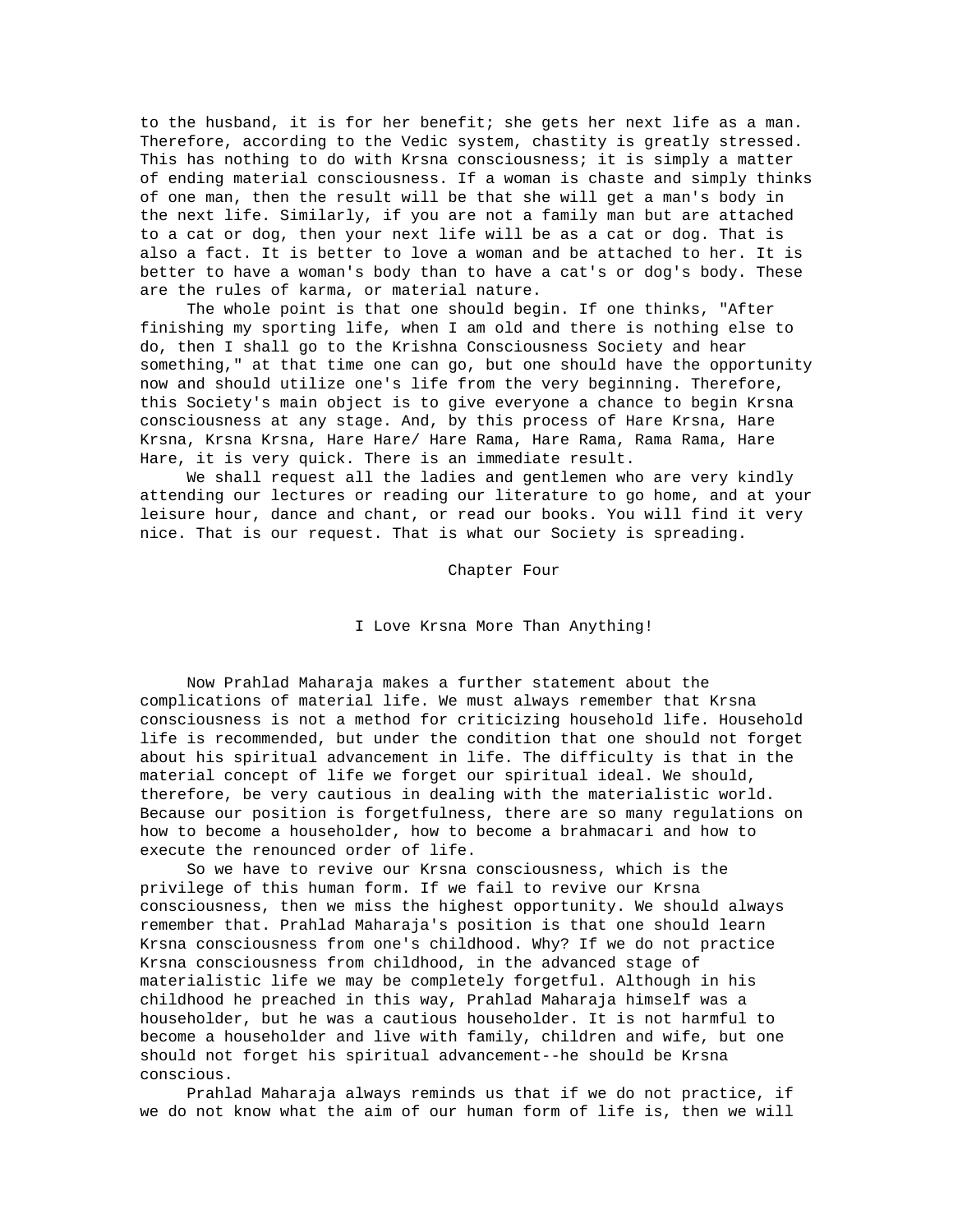to the husband, it is for her benefit; she gets her next life as a man. Therefore, according to the Vedic system, chastity is greatly stressed. This has nothing to do with Krsna consciousness; it is simply a matter of ending material consciousness. If a woman is chaste and simply thinks of one man, then the result will be that she will get a man's body in the next life. Similarly, if you are not a family man but are attached to a cat or dog, then your next life will be as a cat or dog. That is also a fact. It is better to love a woman and be attached to her. It is better to have a woman's body than to have a cat's or dog's body. These are the rules of karma, or material nature.

 The whole point is that one should begin. If one thinks, "After finishing my sporting life, when I am old and there is nothing else to do, then I shall go to the Krishna Consciousness Society and hear something," at that time one can go, but one should have the opportunity now and should utilize one's life from the very beginning. Therefore, this Society's main object is to give everyone a chance to begin Krsna consciousness at any stage. And, by this process of Hare Krsna, Hare Krsna, Krsna Krsna, Hare Hare/ Hare Rama, Hare Rama, Rama Rama, Hare Hare, it is very quick. There is an immediate result.

 We shall request all the ladies and gentlemen who are very kindly attending our lectures or reading our literature to go home, and at your leisure hour, dance and chant, or read our books. You will find it very nice. That is our request. That is what our Society is spreading.

Chapter Four

I Love Krsna More Than Anything!

 Now Prahlad Maharaja makes a further statement about the complications of material life. We must always remember that Krsna consciousness is not a method for criticizing household life. Household life is recommended, but under the condition that one should not forget about his spiritual advancement in life. The difficulty is that in the material concept of life we forget our spiritual ideal. We should, therefore, be very cautious in dealing with the materialistic world. Because our position is forgetfulness, there are so many regulations on how to become a householder, how to become a brahmacari and how to execute the renounced order of life.

 So we have to revive our Krsna consciousness, which is the privilege of this human form. If we fail to revive our Krsna consciousness, then we miss the highest opportunity. We should always remember that. Prahlad Maharaja's position is that one should learn Krsna consciousness from one's childhood. Why? If we do not practice Krsna consciousness from childhood, in the advanced stage of materialistic life we may be completely forgetful. Although in his childhood he preached in this way, Prahlad Maharaja himself was a householder, but he was a cautious householder. It is not harmful to become a householder and live with family, children and wife, but one should not forget his spiritual advancement--he should be Krsna conscious.

 Prahlad Maharaja always reminds us that if we do not practice, if we do not know what the aim of our human form of life is, then we will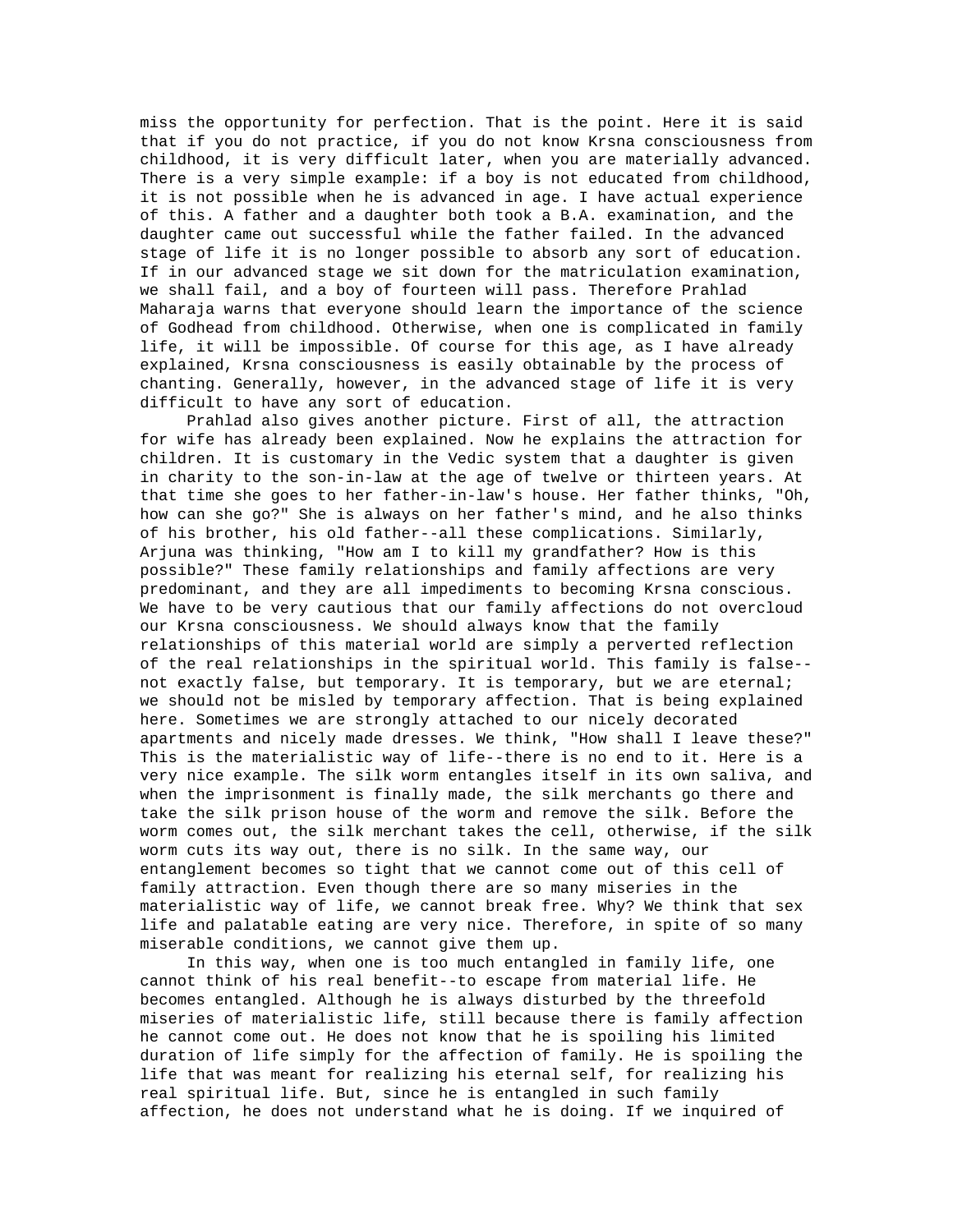miss the opportunity for perfection. That is the point. Here it is said that if you do not practice, if you do not know Krsna consciousness from childhood, it is very difficult later, when you are materially advanced. There is a very simple example: if a boy is not educated from childhood, it is not possible when he is advanced in age. I have actual experience of this. A father and a daughter both took a B.A. examination, and the daughter came out successful while the father failed. In the advanced stage of life it is no longer possible to absorb any sort of education. If in our advanced stage we sit down for the matriculation examination, we shall fail, and a boy of fourteen will pass. Therefore Prahlad Maharaja warns that everyone should learn the importance of the science of Godhead from childhood. Otherwise, when one is complicated in family life, it will be impossible. Of course for this age, as I have already explained, Krsna consciousness is easily obtainable by the process of chanting. Generally, however, in the advanced stage of life it is very difficult to have any sort of education.

 Prahlad also gives another picture. First of all, the attraction for wife has already been explained. Now he explains the attraction for children. It is customary in the Vedic system that a daughter is given in charity to the son-in-law at the age of twelve or thirteen years. At that time she goes to her father-in-law's house. Her father thinks, "Oh, how can she go?" She is always on her father's mind, and he also thinks of his brother, his old father--all these complications. Similarly, Arjuna was thinking, "How am I to kill my grandfather? How is this possible?" These family relationships and family affections are very predominant, and they are all impediments to becoming Krsna conscious. We have to be very cautious that our family affections do not overcloud our Krsna consciousness. We should always know that the family relationships of this material world are simply a perverted reflection of the real relationships in the spiritual world. This family is false- not exactly false, but temporary. It is temporary, but we are eternal; we should not be misled by temporary affection. That is being explained here. Sometimes we are strongly attached to our nicely decorated apartments and nicely made dresses. We think, "How shall I leave these?" This is the materialistic way of life--there is no end to it. Here is a very nice example. The silk worm entangles itself in its own saliva, and when the imprisonment is finally made, the silk merchants go there and take the silk prison house of the worm and remove the silk. Before the worm comes out, the silk merchant takes the cell, otherwise, if the silk worm cuts its way out, there is no silk. In the same way, our entanglement becomes so tight that we cannot come out of this cell of family attraction. Even though there are so many miseries in the materialistic way of life, we cannot break free. Why? We think that sex life and palatable eating are very nice. Therefore, in spite of so many miserable conditions, we cannot give them up.

 In this way, when one is too much entangled in family life, one cannot think of his real benefit--to escape from material life. He becomes entangled. Although he is always disturbed by the threefold miseries of materialistic life, still because there is family affection he cannot come out. He does not know that he is spoiling his limited duration of life simply for the affection of family. He is spoiling the life that was meant for realizing his eternal self, for realizing his real spiritual life. But, since he is entangled in such family affection, he does not understand what he is doing. If we inquired of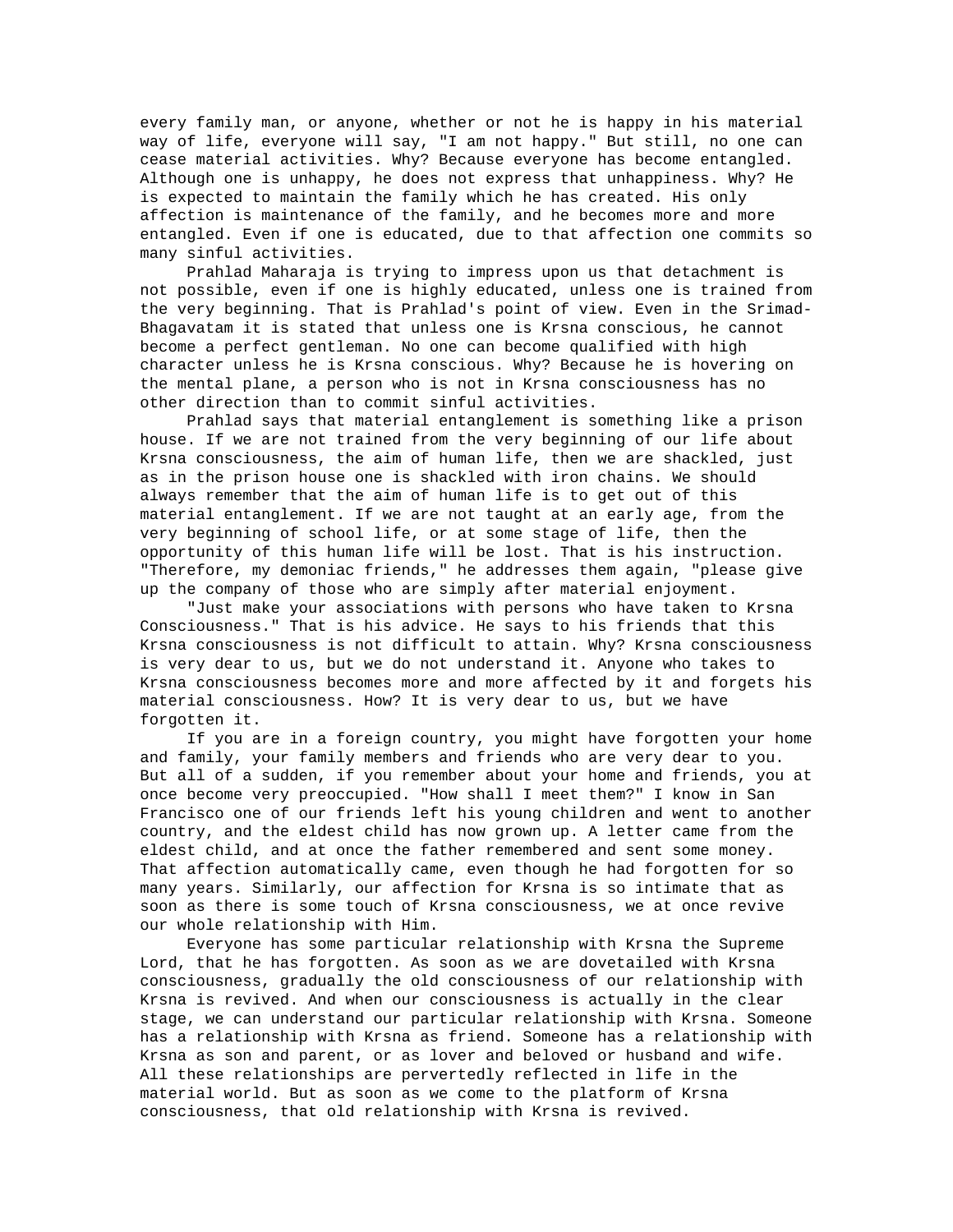every family man, or anyone, whether or not he is happy in his material way of life, everyone will say, "I am not happy." But still, no one can cease material activities. Why? Because everyone has become entangled. Although one is unhappy, he does not express that unhappiness. Why? He is expected to maintain the family which he has created. His only affection is maintenance of the family, and he becomes more and more entangled. Even if one is educated, due to that affection one commits so many sinful activities.

 Prahlad Maharaja is trying to impress upon us that detachment is not possible, even if one is highly educated, unless one is trained from the very beginning. That is Prahlad's point of view. Even in the Srimad-Bhagavatam it is stated that unless one is Krsna conscious, he cannot become a perfect gentleman. No one can become qualified with high character unless he is Krsna conscious. Why? Because he is hovering on the mental plane, a person who is not in Krsna consciousness has no other direction than to commit sinful activities.

 Prahlad says that material entanglement is something like a prison house. If we are not trained from the very beginning of our life about Krsna consciousness, the aim of human life, then we are shackled, just as in the prison house one is shackled with iron chains. We should always remember that the aim of human life is to get out of this material entanglement. If we are not taught at an early age, from the very beginning of school life, or at some stage of life, then the opportunity of this human life will be lost. That is his instruction. "Therefore, my demoniac friends," he addresses them again, "please give up the company of those who are simply after material enjoyment.

 "Just make your associations with persons who have taken to Krsna Consciousness." That is his advice. He says to his friends that this Krsna consciousness is not difficult to attain. Why? Krsna consciousness is very dear to us, but we do not understand it. Anyone who takes to Krsna consciousness becomes more and more affected by it and forgets his material consciousness. How? It is very dear to us, but we have forgotten it.

 If you are in a foreign country, you might have forgotten your home and family, your family members and friends who are very dear to you. But all of a sudden, if you remember about your home and friends, you at once become very preoccupied. "How shall I meet them?" I know in San Francisco one of our friends left his young children and went to another country, and the eldest child has now grown up. A letter came from the eldest child, and at once the father remembered and sent some money. That affection automatically came, even though he had forgotten for so many years. Similarly, our affection for Krsna is so intimate that as soon as there is some touch of Krsna consciousness, we at once revive our whole relationship with Him.

 Everyone has some particular relationship with Krsna the Supreme Lord, that he has forgotten. As soon as we are dovetailed with Krsna consciousness, gradually the old consciousness of our relationship with Krsna is revived. And when our consciousness is actually in the clear stage, we can understand our particular relationship with Krsna. Someone has a relationship with Krsna as friend. Someone has a relationship with Krsna as son and parent, or as lover and beloved or husband and wife. All these relationships are pervertedly reflected in life in the material world. But as soon as we come to the platform of Krsna consciousness, that old relationship with Krsna is revived.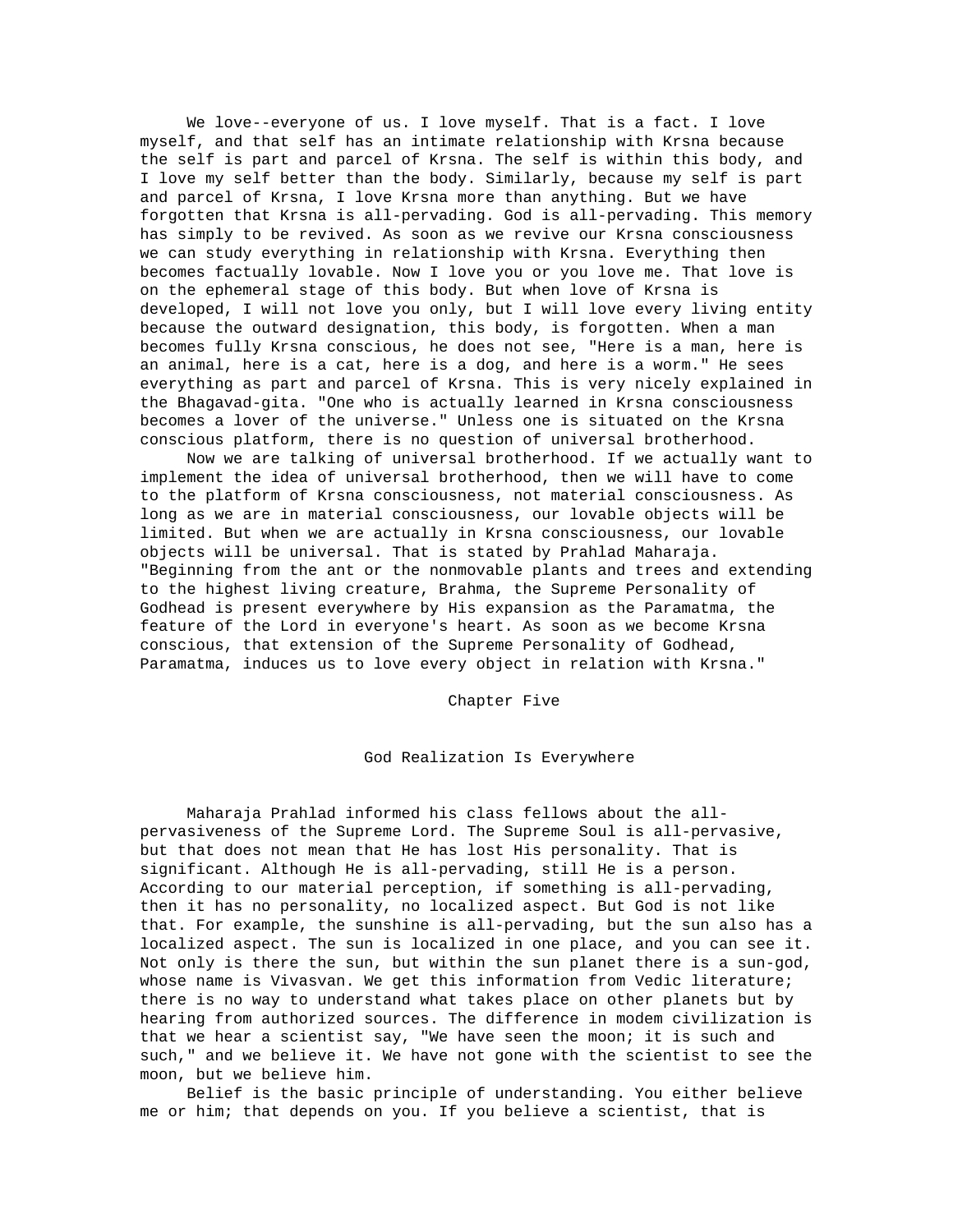We love--everyone of us. I love myself. That is a fact. I love myself, and that self has an intimate relationship with Krsna because the self is part and parcel of Krsna. The self is within this body, and I love my self better than the body. Similarly, because my self is part and parcel of Krsna, I love Krsna more than anything. But we have forgotten that Krsna is all-pervading. God is all-pervading. This memory has simply to be revived. As soon as we revive our Krsna consciousness we can study everything in relationship with Krsna. Everything then becomes factually lovable. Now I love you or you love me. That love is on the ephemeral stage of this body. But when love of Krsna is developed, I will not love you only, but I will love every living entity because the outward designation, this body, is forgotten. When a man becomes fully Krsna conscious, he does not see, "Here is a man, here is an animal, here is a cat, here is a dog, and here is a worm." He sees everything as part and parcel of Krsna. This is very nicely explained in the Bhagavad-gita. "One who is actually learned in Krsna consciousness becomes a lover of the universe." Unless one is situated on the Krsna conscious platform, there is no question of universal brotherhood.

 Now we are talking of universal brotherhood. If we actually want to implement the idea of universal brotherhood, then we will have to come to the platform of Krsna consciousness, not material consciousness. As long as we are in material consciousness, our lovable objects will be limited. But when we are actually in Krsna consciousness, our lovable objects will be universal. That is stated by Prahlad Maharaja. "Beginning from the ant or the nonmovable plants and trees and extending to the highest living creature, Brahma, the Supreme Personality of Godhead is present everywhere by His expansion as the Paramatma, the feature of the Lord in everyone's heart. As soon as we become Krsna conscious, that extension of the Supreme Personality of Godhead, Paramatma, induces us to love every object in relation with Krsna."

Chapter Five

God Realization Is Everywhere

 Maharaja Prahlad informed his class fellows about the allpervasiveness of the Supreme Lord. The Supreme Soul is all-pervasive, but that does not mean that He has lost His personality. That is significant. Although He is all-pervading, still He is a person. According to our material perception, if something is all-pervading, then it has no personality, no localized aspect. But God is not like that. For example, the sunshine is all-pervading, but the sun also has a localized aspect. The sun is localized in one place, and you can see it. Not only is there the sun, but within the sun planet there is a sun-god, whose name is Vivasvan. We get this information from Vedic literature; there is no way to understand what takes place on other planets but by hearing from authorized sources. The difference in modem civilization is that we hear a scientist say, "We have seen the moon; it is such and such," and we believe it. We have not gone with the scientist to see the moon, but we believe him.

 Belief is the basic principle of understanding. You either believe me or him; that depends on you. If you believe a scientist, that is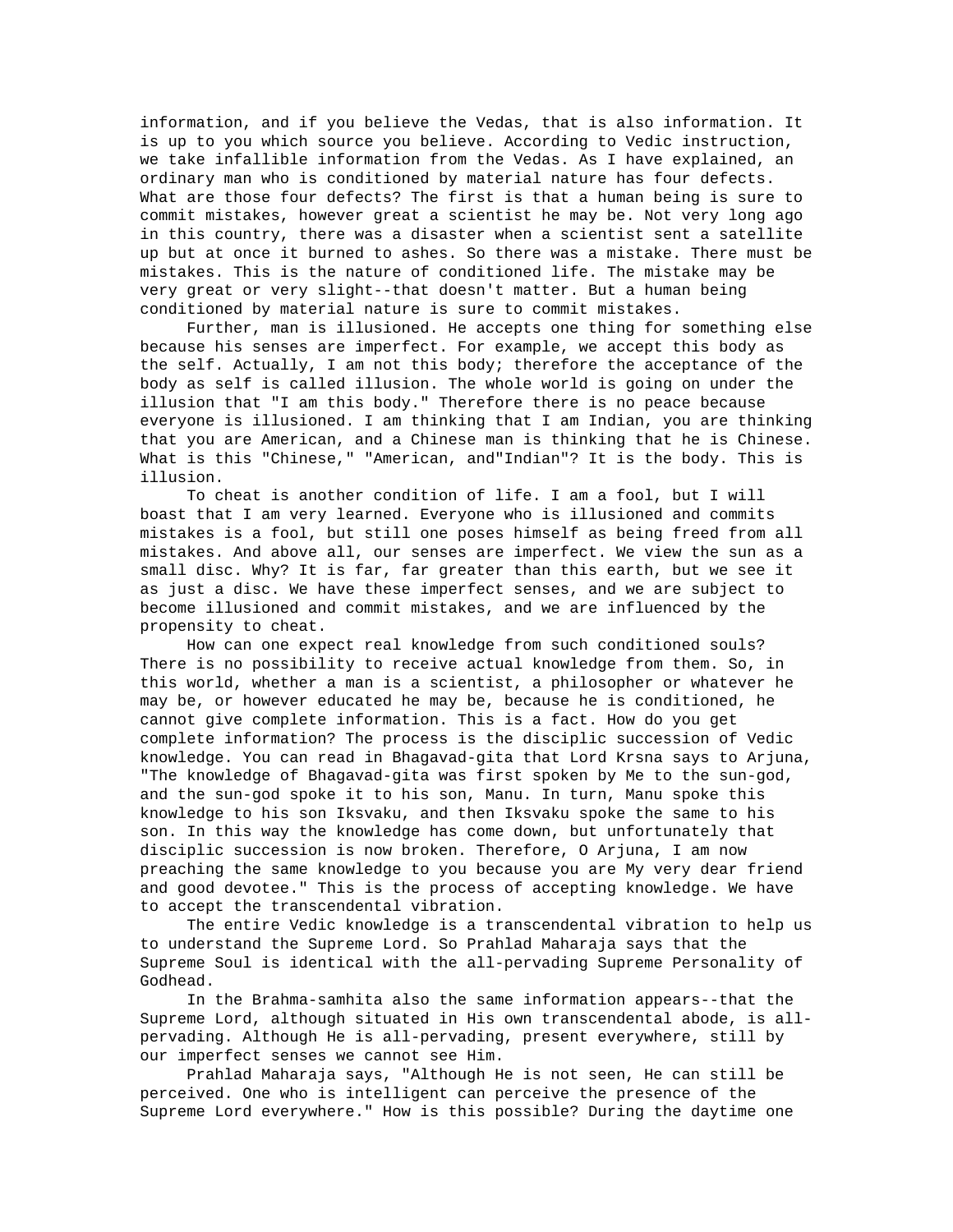information, and if you believe the Vedas, that is also information. It is up to you which source you believe. According to Vedic instruction, we take infallible information from the Vedas. As I have explained, an ordinary man who is conditioned by material nature has four defects. What are those four defects? The first is that a human being is sure to commit mistakes, however great a scientist he may be. Not very long ago in this country, there was a disaster when a scientist sent a satellite up but at once it burned to ashes. So there was a mistake. There must be mistakes. This is the nature of conditioned life. The mistake may be very great or very slight--that doesn't matter. But a human being conditioned by material nature is sure to commit mistakes.

 Further, man is illusioned. He accepts one thing for something else because his senses are imperfect. For example, we accept this body as the self. Actually, I am not this body; therefore the acceptance of the body as self is called illusion. The whole world is going on under the illusion that "I am this body." Therefore there is no peace because everyone is illusioned. I am thinking that I am Indian, you are thinking that you are American, and a Chinese man is thinking that he is Chinese. What is this "Chinese," "American, and"Indian"? It is the body. This is illusion.

 To cheat is another condition of life. I am a fool, but I will boast that I am very learned. Everyone who is illusioned and commits mistakes is a fool, but still one poses himself as being freed from all mistakes. And above all, our senses are imperfect. We view the sun as a small disc. Why? It is far, far greater than this earth, but we see it as just a disc. We have these imperfect senses, and we are subject to become illusioned and commit mistakes, and we are influenced by the propensity to cheat.

 How can one expect real knowledge from such conditioned souls? There is no possibility to receive actual knowledge from them. So, in this world, whether a man is a scientist, a philosopher or whatever he may be, or however educated he may be, because he is conditioned, he cannot give complete information. This is a fact. How do you get complete information? The process is the disciplic succession of Vedic knowledge. You can read in Bhagavad-gita that Lord Krsna says to Arjuna, "The knowledge of Bhagavad-gita was first spoken by Me to the sun-god, and the sun-god spoke it to his son, Manu. In turn, Manu spoke this knowledge to his son Iksvaku, and then Iksvaku spoke the same to his son. In this way the knowledge has come down, but unfortunately that disciplic succession is now broken. Therefore, O Arjuna, I am now preaching the same knowledge to you because you are My very dear friend and good devotee." This is the process of accepting knowledge. We have to accept the transcendental vibration.

 The entire Vedic knowledge is a transcendental vibration to help us to understand the Supreme Lord. So Prahlad Maharaja says that the Supreme Soul is identical with the all-pervading Supreme Personality of Godhead.

 In the Brahma-samhita also the same information appears--that the Supreme Lord, although situated in His own transcendental abode, is allpervading. Although He is all-pervading, present everywhere, still by our imperfect senses we cannot see Him.

 Prahlad Maharaja says, "Although He is not seen, He can still be perceived. One who is intelligent can perceive the presence of the Supreme Lord everywhere." How is this possible? During the daytime one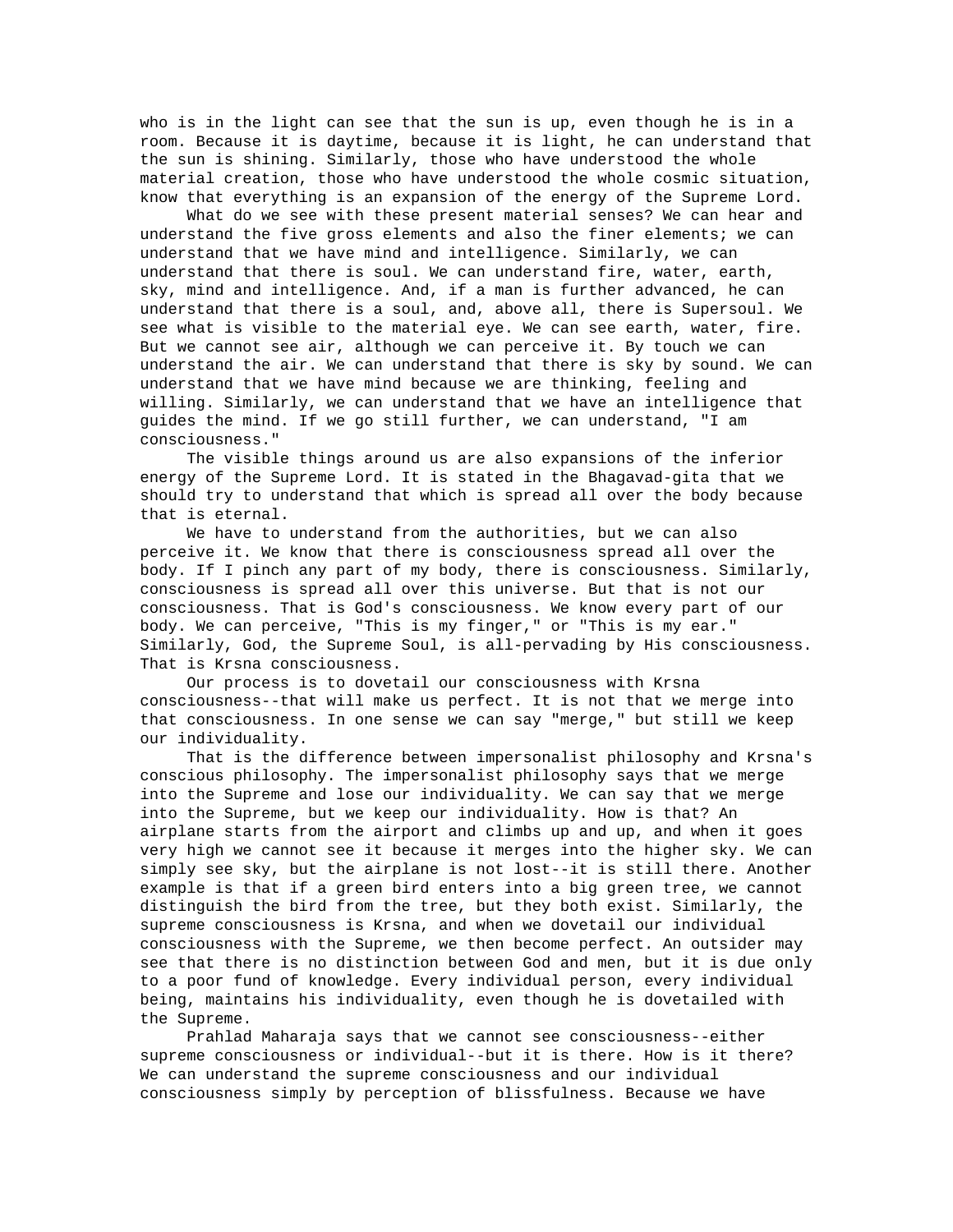who is in the light can see that the sun is up, even though he is in a room. Because it is daytime, because it is light, he can understand that the sun is shining. Similarly, those who have understood the whole material creation, those who have understood the whole cosmic situation, know that everything is an expansion of the energy of the Supreme Lord.

 What do we see with these present material senses? We can hear and understand the five gross elements and also the finer elements; we can understand that we have mind and intelligence. Similarly, we can understand that there is soul. We can understand fire, water, earth, sky, mind and intelligence. And, if a man is further advanced, he can understand that there is a soul, and, above all, there is Supersoul. We see what is visible to the material eye. We can see earth, water, fire. But we cannot see air, although we can perceive it. By touch we can understand the air. We can understand that there is sky by sound. We can understand that we have mind because we are thinking, feeling and willing. Similarly, we can understand that we have an intelligence that guides the mind. If we go still further, we can understand, "I am consciousness."

 The visible things around us are also expansions of the inferior energy of the Supreme Lord. It is stated in the Bhagavad-gita that we should try to understand that which is spread all over the body because that is eternal.

 We have to understand from the authorities, but we can also perceive it. We know that there is consciousness spread all over the body. If I pinch any part of my body, there is consciousness. Similarly, consciousness is spread all over this universe. But that is not our consciousness. That is God's consciousness. We know every part of our body. We can perceive, "This is my finger," or "This is my ear." Similarly, God, the Supreme Soul, is all-pervading by His consciousness. That is Krsna consciousness.

 Our process is to dovetail our consciousness with Krsna consciousness--that will make us perfect. It is not that we merge into that consciousness. In one sense we can say "merge," but still we keep our individuality.

 That is the difference between impersonalist philosophy and Krsna's conscious philosophy. The impersonalist philosophy says that we merge into the Supreme and lose our individuality. We can say that we merge into the Supreme, but we keep our individuality. How is that? An airplane starts from the airport and climbs up and up, and when it goes very high we cannot see it because it merges into the higher sky. We can simply see sky, but the airplane is not lost--it is still there. Another example is that if a green bird enters into a big green tree, we cannot distinguish the bird from the tree, but they both exist. Similarly, the supreme consciousness is Krsna, and when we dovetail our individual consciousness with the Supreme, we then become perfect. An outsider may see that there is no distinction between God and men, but it is due only to a poor fund of knowledge. Every individual person, every individual being, maintains his individuality, even though he is dovetailed with the Supreme.

 Prahlad Maharaja says that we cannot see consciousness--either supreme consciousness or individual--but it is there. How is it there? We can understand the supreme consciousness and our individual consciousness simply by perception of blissfulness. Because we have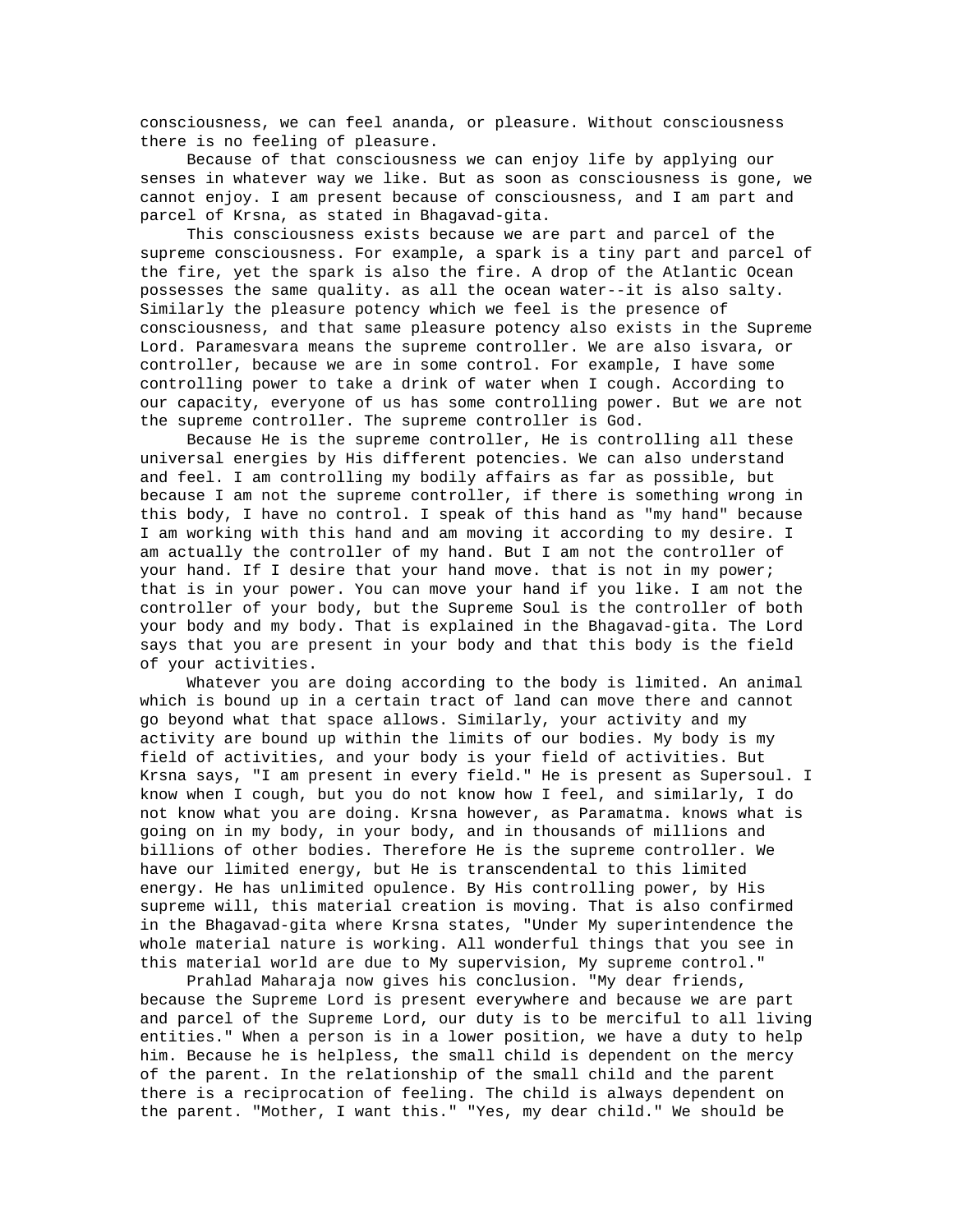consciousness, we can feel ananda, or pleasure. Without consciousness there is no feeling of pleasure.

 Because of that consciousness we can enjoy life by applying our senses in whatever way we like. But as soon as consciousness is gone, we cannot enjoy. I am present because of consciousness, and I am part and parcel of Krsna, as stated in Bhagavad-gita.

 This consciousness exists because we are part and parcel of the supreme consciousness. For example, a spark is a tiny part and parcel of the fire, yet the spark is also the fire. A drop of the Atlantic Ocean possesses the same quality. as all the ocean water--it is also salty. Similarly the pleasure potency which we feel is the presence of consciousness, and that same pleasure potency also exists in the Supreme Lord. Paramesvara means the supreme controller. We are also isvara, or controller, because we are in some control. For example, I have some controlling power to take a drink of water when I cough. According to our capacity, everyone of us has some controlling power. But we are not the supreme controller. The supreme controller is God.

 Because He is the supreme controller, He is controlling all these universal energies by His different potencies. We can also understand and feel. I am controlling my bodily affairs as far as possible, but because I am not the supreme controller, if there is something wrong in this body, I have no control. I speak of this hand as "my hand" because I am working with this hand and am moving it according to my desire. I am actually the controller of my hand. But I am not the controller of your hand. If I desire that your hand move. that is not in my power; that is in your power. You can move your hand if you like. I am not the controller of your body, but the Supreme Soul is the controller of both your body and my body. That is explained in the Bhagavad-gita. The Lord says that you are present in your body and that this body is the field of your activities.

 Whatever you are doing according to the body is limited. An animal which is bound up in a certain tract of land can move there and cannot go beyond what that space allows. Similarly, your activity and my activity are bound up within the limits of our bodies. My body is my field of activities, and your body is your field of activities. But Krsna says, "I am present in every field." He is present as Supersoul. I know when I cough, but you do not know how I feel, and similarly, I do not know what you are doing. Krsna however, as Paramatma. knows what is going on in my body, in your body, and in thousands of millions and billions of other bodies. Therefore He is the supreme controller. We have our limited energy, but He is transcendental to this limited energy. He has unlimited opulence. By His controlling power, by His supreme will, this material creation is moving. That is also confirmed in the Bhagavad-gita where Krsna states, "Under My superintendence the whole material nature is working. All wonderful things that you see in this material world are due to My supervision, My supreme control."

 Prahlad Maharaja now gives his conclusion. "My dear friends, because the Supreme Lord is present everywhere and because we are part and parcel of the Supreme Lord, our duty is to be merciful to all living entities." When a person is in a lower position, we have a duty to help him. Because he is helpless, the small child is dependent on the mercy of the parent. In the relationship of the small child and the parent there is a reciprocation of feeling. The child is always dependent on the parent. "Mother, I want this." "Yes, my dear child." We should be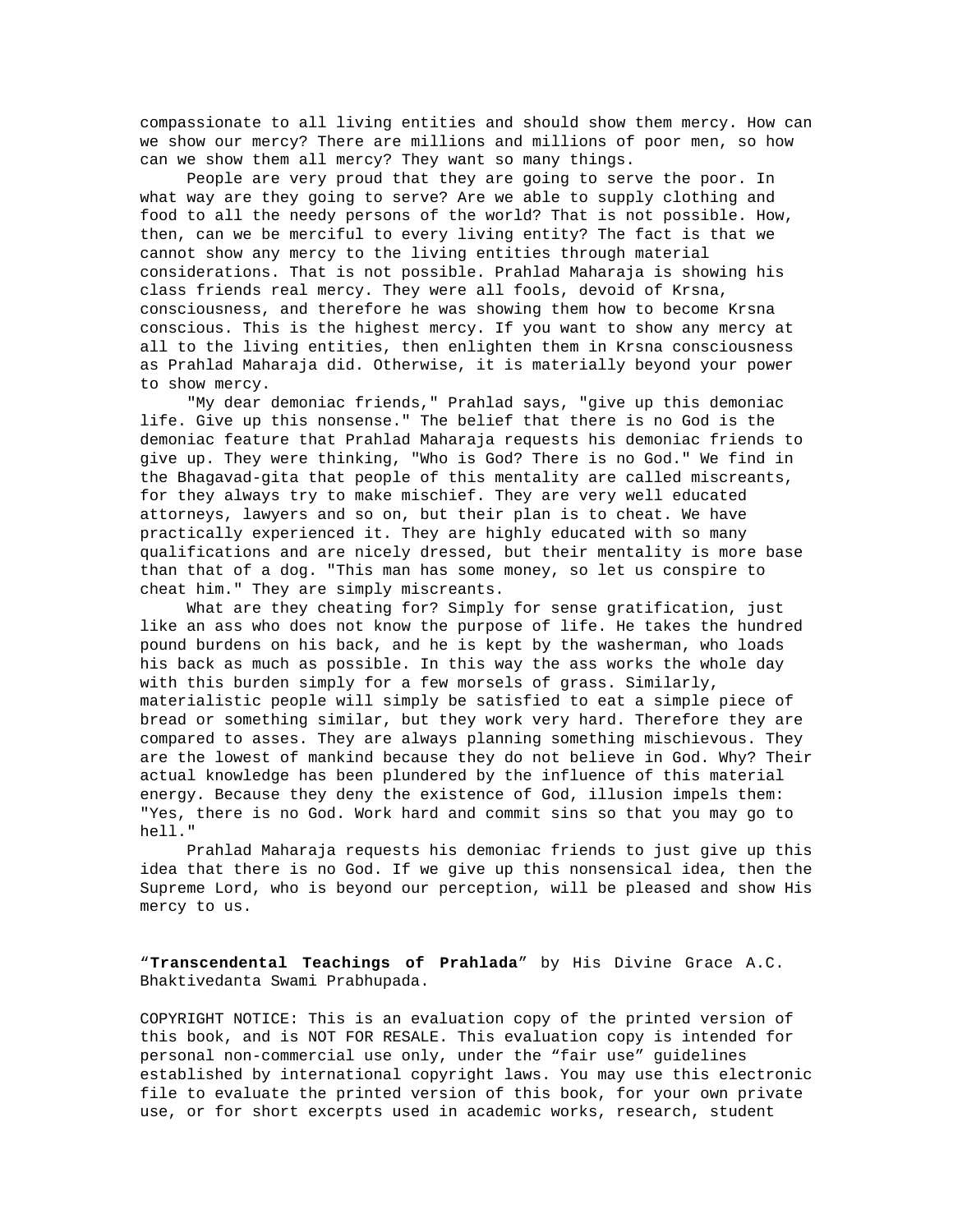compassionate to all living entities and should show them mercy. How can we show our mercy? There are millions and millions of poor men, so how can we show them all mercy? They want so many things.

 People are very proud that they are going to serve the poor. In what way are they going to serve? Are we able to supply clothing and food to all the needy persons of the world? That is not possible. How, then, can we be merciful to every living entity? The fact is that we cannot show any mercy to the living entities through material considerations. That is not possible. Prahlad Maharaja is showing his class friends real mercy. They were all fools, devoid of Krsna, consciousness, and therefore he was showing them how to become Krsna conscious. This is the highest mercy. If you want to show any mercy at all to the living entities, then enlighten them in Krsna consciousness as Prahlad Maharaja did. Otherwise, it is materially beyond your power to show mercy.

 "My dear demoniac friends," Prahlad says, "give up this demoniac life. Give up this nonsense." The belief that there is no God is the demoniac feature that Prahlad Maharaja requests his demoniac friends to give up. They were thinking, "Who is God? There is no God." We find in the Bhagavad-gita that people of this mentality are called miscreants, for they always try to make mischief. They are very well educated attorneys, lawyers and so on, but their plan is to cheat. We have practically experienced it. They are highly educated with so many qualifications and are nicely dressed, but their mentality is more base than that of a dog. "This man has some money, so let us conspire to cheat him." They are simply miscreants.

 What are they cheating for? Simply for sense gratification, just like an ass who does not know the purpose of life. He takes the hundred pound burdens on his back, and he is kept by the washerman, who loads his back as much as possible. In this way the ass works the whole day with this burden simply for a few morsels of grass. Similarly, materialistic people will simply be satisfied to eat a simple piece of bread or something similar, but they work very hard. Therefore they are compared to asses. They are always planning something mischievous. They are the lowest of mankind because they do not believe in God. Why? Their actual knowledge has been plundered by the influence of this material energy. Because they deny the existence of God, illusion impels them: "Yes, there is no God. Work hard and commit sins so that you may go to hell."

 Prahlad Maharaja requests his demoniac friends to just give up this idea that there is no God. If we give up this nonsensical idea, then the Supreme Lord, who is beyond our perception, will be pleased and show His mercy to us.

"**Transcendental Teachings of Prahlada**" by His Divine Grace A.C. Bhaktivedanta Swami Prabhupada.

COPYRIGHT NOTICE: This is an evaluation copy of the printed version of this book, and is NOT FOR RESALE. This evaluation copy is intended for personal non-commercial use only, under the "fair use" guidelines established by international copyright laws. You may use this electronic file to evaluate the printed version of this book, for your own private use, or for short excerpts used in academic works, research, student